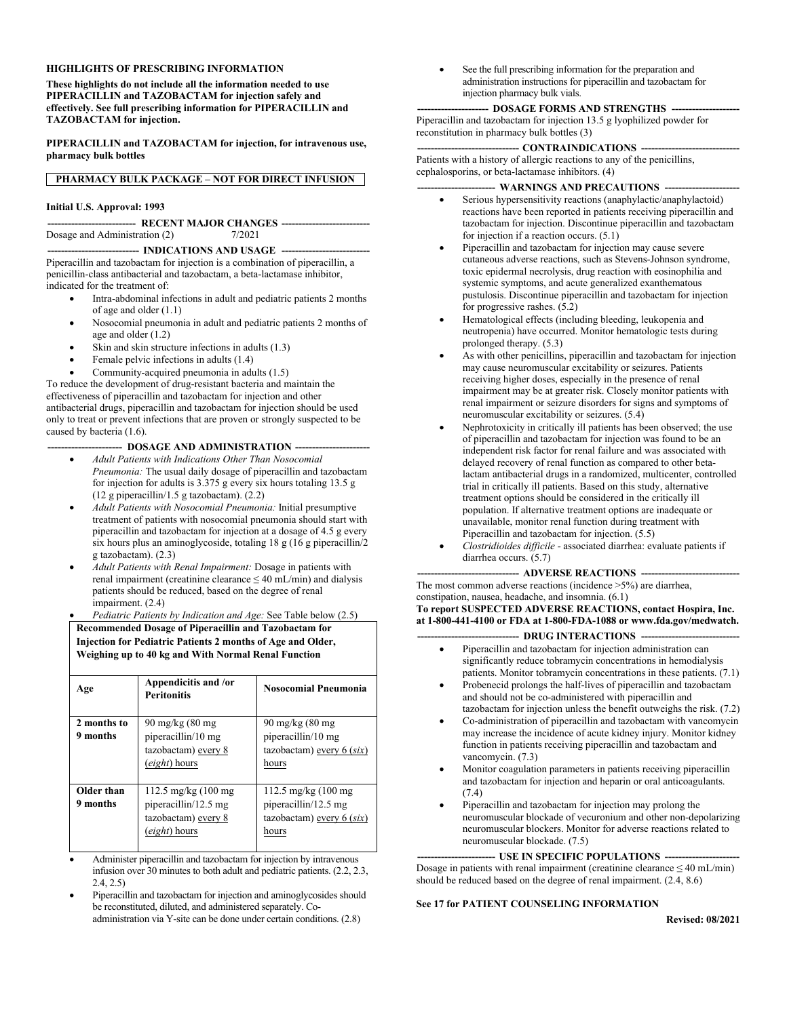#### **HIGHLIGHTS OF PRESCRIBING INFORMATION**

**These highlights do not include all the information needed to use PIPERACILLIN and TAZOBACTAM for injection safely and effectively. See full prescribing information for PIPERACILLIN and TAZOBACTAM for injection.**

**PIPERACILLIN and TAZOBACTAM for injection, for intravenous use, pharmacy bulk bottles**

#### **PHARMACY BULK PACKAGE – NOT FOR DIRECT INFUSION**

#### **Initial U.S. Approval: 1993**

**-------------------------- RECENT MAJOR CHANGES --------------------------** Dosage and Administration (2)  $7/2021$ 

#### **--------------------------- INDICATIONS AND USAGE --------------------------**

Piperacillin and tazobactam for injection is a combination of piperacillin, a penicillin-class antibacterial and tazobactam, a beta-lactamase inhibitor, indicated for the treatment of:

- Intra-abdominal infections in adult and pediatric patients 2 months of age and older (1.1)
- Nosocomial pneumonia in adult and pediatric patients 2 months of age and older (1.2)
- Skin and skin structure infections in adults (1.3)
- Female pelvic infections in adults (1.4)
- Community-acquired pneumonia in adults (1.5)

To reduce the development of drug-resistant bacteria and maintain the effectiveness of piperacillin and tazobactam for injection and other antibacterial drugs, piperacillin and tazobactam for injection should be used only to treat or prevent infections that are proven or strongly suspected to be caused by bacteria (1.6).

#### -- DOSAGE AND ADMINISTRATION ---

- *Adult Patients with Indications Other Than Nosocomial Pneumonia:* The usual daily dosage of piperacillin and tazobactam for injection for adults is 3.375 g every six hours totaling 13.5 g (12 g piperacillin/1.5 g tazobactam). (2.2)
- *Adult Patients with Nosocomial Pneumonia:* Initial presumptive treatment of patients with nosocomial pneumonia should start with piperacillin and tazobactam for injection at a dosage of 4.5 g every six hours plus an aminoglycoside, totaling 18 g (16 g piperacillin/2 g tazobactam). (2.3)
- *Adult Patients with Renal Impairment:* Dosage in patients with renal impairment (creatinine clearance ≤ 40 mL/min) and dialysis patients should be reduced, based on the degree of renal impairment. (2.4)
- *Pediatric Patients by Indication and Age:* See Table below (2.5)

#### **Recommended Dosage of Piperacillin and Tazobactam for Injection for Pediatric Patients 2 months of Age and Older, Weighing up to 40 kg and With Normal Renal Function**

| Age                     | Appendicitis and /or<br><b>Peritonitis</b>                                                            | <b>Nosocomial Pneumonia</b>                                                              |
|-------------------------|-------------------------------------------------------------------------------------------------------|------------------------------------------------------------------------------------------|
| 2 months to<br>9 months | $90 \text{ mg/kg}$ (80 mg)<br>piperacillin/10 mg<br>tazobactam) every 8<br>(eight) hours              | $90 \text{ mg/kg}$ (80 mg)<br>piperacillin/10 mg<br>tazobactam) every $6$ (six)<br>hours |
| Older than<br>9 months  | $112.5 \text{ mg/kg}$ (100 mg)<br>piperacillin/12.5 mg<br>tazobactam) every 8<br><i>(eight)</i> hours | 112.5 mg/kg (100 mg)<br>piperacillin/12.5 mg<br>tazobactam) every 6 (six)<br>hours       |

- Administer piperacillin and tazobactam for injection by intravenous infusion over 30 minutes to both adult and pediatric patients. (2.2, 2.3, 2.4, 2.5)
- Piperacillin and tazobactam for injection and aminoglycosides should be reconstituted, diluted, and administered separately. Coadministration via Y-site can be done under certain conditions. (2.8)

 See the full prescribing information for the preparation and administration instructions for piperacillin and tazobactam for injection pharmacy bulk vials.

#### --- **DOSAGE FORMS AND STRENGTHS** ---

Piperacillin and tazobactam for injection 13.5 g lyophilized powder for reconstitution in pharmacy bulk bottles (3)

#### --- **CONTRAINDICATIONS** ----

Patients with a history of allergic reactions to any of the penicillins, cephalosporins, or beta-lactamase inhibitors. (4)

#### - **WARNINGS AND PRECAUTIONS** ---

- Serious hypersensitivity reactions (anaphylactic/anaphylactoid) reactions have been reported in patients receiving piperacillin and tazobactam for injection. Discontinue piperacillin and tazobactam for injection if a reaction occurs. (5.1)
- Piperacillin and tazobactam for injection may cause severe cutaneous adverse reactions, such as Stevens-Johnson syndrome, toxic epidermal necrolysis, drug reaction with eosinophilia and systemic symptoms, and acute generalized exanthematous pustulosis. Discontinue piperacillin and tazobactam for injection for progressive rashes. (5.2)
- Hematological effects (including bleeding, leukopenia and neutropenia) have occurred. Monitor hematologic tests during prolonged therapy. (5.3)
- As with other penicillins, piperacillin and tazobactam for injection may cause neuromuscular excitability or seizures. Patients receiving higher doses, especially in the presence of renal impairment may be at greater risk. Closely monitor patients with renal impairment or seizure disorders for signs and symptoms of neuromuscular excitability or seizures. (5.4)
- Nephrotoxicity in critically ill patients has been observed; the use of piperacillin and tazobactam for injection was found to be an independent risk factor for renal failure and was associated with delayed recovery of renal function as compared to other betalactam antibacterial drugs in a randomized, multicenter, controlled trial in critically ill patients. Based on this study, alternative treatment options should be considered in the critically ill population. If alternative treatment options are inadequate or unavailable, monitor renal function during treatment with Piperacillin and tazobactam for injection. (5.5)
- *Clostridioides difficile -* associated diarrhea: evaluate patients if diarrhea occurs. (5.7)

#### - **ADVERSE REACTIONS ---**The most common adverse reactions (incidence >5%) are diarrhea,

constipation, nausea, headache, and insomnia. (6.1) **To report SUSPECTED ADVERSE REACTIONS, contact Hospira, Inc.** 

**at 1-800-441-4100 or FDA at 1-800-FDA-1088 or www.fda.gov/medwatch.** -- DRUG INTERACTIONS --

- Piperacillin and tazobactam for injection administration can significantly reduce tobramycin concentrations in hemodialysis patients. Monitor tobramycin concentrations in these patients. (7.1)
- Probenecid prolongs the half-lives of piperacillin and tazobactam and should not be co-administered with piperacillin and tazobactam for injection unless the benefit outweighs the risk. (7.2)
- Co-administration of piperacillin and tazobactam with vancomycin may increase the incidence of acute kidney injury. Monitor kidney function in patients receiving piperacillin and tazobactam and vancomycin. (7.3)
- Monitor coagulation parameters in patients receiving piperacillin and tazobactam for injection and heparin or oral anticoagulants. (7.4)
- Piperacillin and tazobactam for injection may prolong the neuromuscular blockade of vecuronium and other non-depolarizing neuromuscular blockers. Monitor for adverse reactions related to neuromuscular blockade. (7.5)

#### --- USE IN SPECIFIC POPULATIONS ---

Dosage in patients with renal impairment (creatinine clearance  $\leq 40$  mL/min) should be reduced based on the degree of renal impairment. (2.4, 8.6)

#### **See 17 for PATIENT COUNSELING INFORMATION**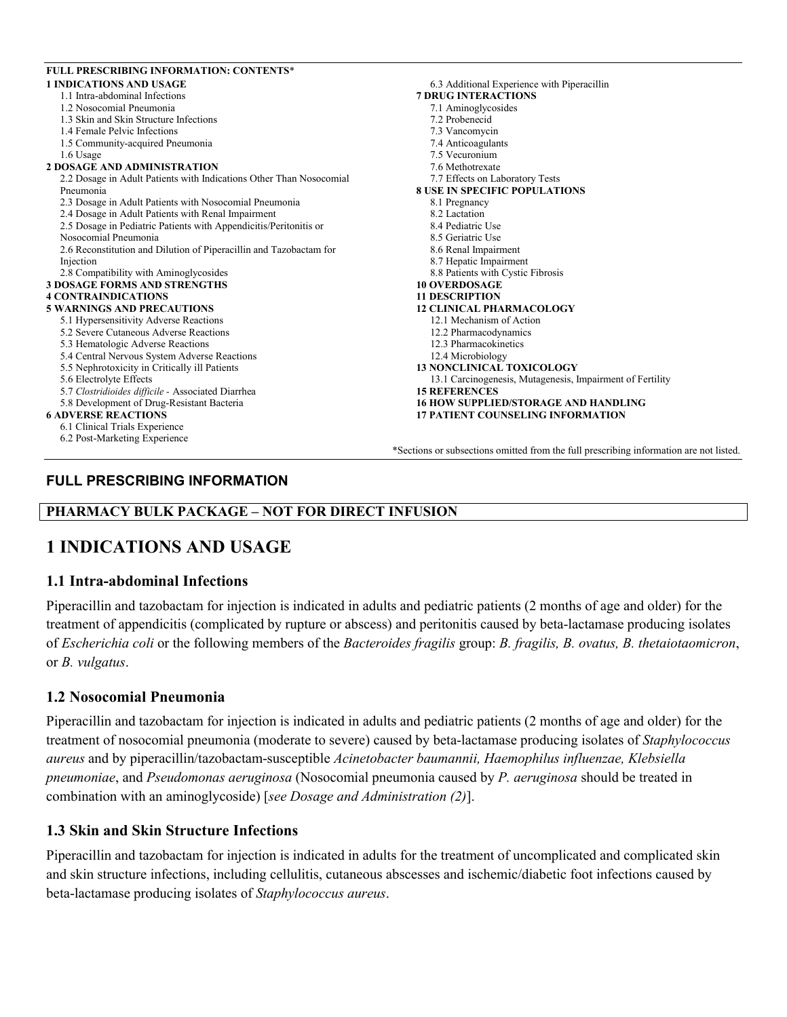| <b>FULL PRESCRIBING INFORMATION: CONTENTS*</b>                      |                                                                                        |
|---------------------------------------------------------------------|----------------------------------------------------------------------------------------|
| <b>1 INDICATIONS AND USAGE</b>                                      | 6.3 Additional Experience with Piperacillin                                            |
| 1.1 Intra-abdominal Infections                                      | <b>7 DRUG INTERACTIONS</b>                                                             |
| 1.2 Nosocomial Pneumonia                                            | 7.1 Aminoglycosides                                                                    |
| 1.3 Skin and Skin Structure Infections                              | 7.2 Probenecid                                                                         |
| 1.4 Female Pelvic Infections                                        | 7.3 Vancomycin                                                                         |
| 1.5 Community-acquired Pneumonia                                    | 7.4 Anticoagulants                                                                     |
| 1.6 Usage                                                           | 7.5 Vecuronium                                                                         |
| <b>2 DOSAGE AND ADMINISTRATION</b>                                  | 7.6 Methotrexate                                                                       |
| 2.2 Dosage in Adult Patients with Indications Other Than Nosocomial | 7.7 Effects on Laboratory Tests                                                        |
| Pneumonia                                                           | <b>8 USE IN SPECIFIC POPULATIONS</b>                                                   |
| 2.3 Dosage in Adult Patients with Nosocomial Pneumonia              | 8.1 Pregnancy                                                                          |
| 2.4 Dosage in Adult Patients with Renal Impairment                  | 8.2 Lactation                                                                          |
| 2.5 Dosage in Pediatric Patients with Appendicitis/Peritonitis or   | 8.4 Pediatric Use                                                                      |
| Nosocomial Pneumonia                                                | 8.5 Geriatric Use                                                                      |
| 2.6 Reconstitution and Dilution of Piperacillin and Tazobactam for  | 8.6 Renal Impairment                                                                   |
| Injection                                                           | 8.7 Hepatic Impairment                                                                 |
| 2.8 Compatibility with Aminoglycosides                              | 8.8 Patients with Cystic Fibrosis                                                      |
| <b>3 DOSAGE FORMS AND STRENGTHS</b>                                 | <b>10 OVERDOSAGE</b>                                                                   |
| <b>4 CONTRAINDICATIONS</b>                                          | <b>11 DESCRIPTION</b>                                                                  |
| <b>5 WARNINGS AND PRECAUTIONS</b>                                   | <b>12 CLINICAL PHARMACOLOGY</b>                                                        |
| 5.1 Hypersensitivity Adverse Reactions                              | 12.1 Mechanism of Action                                                               |
| 5.2 Severe Cutaneous Adverse Reactions                              | 12.2 Pharmacodynamics                                                                  |
| 5.3 Hematologic Adverse Reactions                                   | 12.3 Pharmacokinetics                                                                  |
| 5.4 Central Nervous System Adverse Reactions                        | 12.4 Microbiology                                                                      |
| 5.5 Nephrotoxicity in Critically ill Patients                       | <b>13 NONCLINICAL TOXICOLOGY</b>                                                       |
| 5.6 Electrolyte Effects                                             | 13.1 Carcinogenesis, Mutagenesis, Impairment of Fertility                              |
| 5.7 Clostridioides difficile - Associated Diarrhea                  | <b>15 REFERENCES</b>                                                                   |
| 5.8 Development of Drug-Resistant Bacteria                          | <b>16 HOW SUPPLIED/STORAGE AND HANDLING</b>                                            |
| <b>6 ADVERSE REACTIONS</b>                                          | <b>17 PATIENT COUNSELING INFORMATION</b>                                               |
| 6.1 Clinical Trials Experience                                      |                                                                                        |
| 6.2 Post-Marketing Experience                                       |                                                                                        |
|                                                                     | *Sections or subsections omitted from the full prescribing information are not listed. |
|                                                                     |                                                                                        |

# **FULL PRESCRIBING INFORMATION**

# **PHARMACY BULK PACKAGE – NOT FOR DIRECT INFUSION**

# **1 INDICATIONS AND USAGE**

### **1.1 Intra-abdominal Infections**

Piperacillin and tazobactam for injection is indicated in adults and pediatric patients (2 months of age and older) for the treatment of appendicitis (complicated by rupture or abscess) and peritonitis caused by beta-lactamase producing isolates of *Escherichia coli* or the following members of the *Bacteroides fragilis* group: *B. fragilis, B. ovatus, B. thetaiotaomicron*, or *B. vulgatus*.

### **1.2 Nosocomial Pneumonia**

Piperacillin and tazobactam for injection is indicated in adults and pediatric patients (2 months of age and older) for the treatment of nosocomial pneumonia (moderate to severe) caused by beta-lactamase producing isolates of *Staphylococcus aureus* and by piperacillin/tazobactam-susceptible *Acinetobacter baumannii, Haemophilus influenzae, Klebsiella pneumoniae*, and *Pseudomonas aeruginosa* (Nosocomial pneumonia caused by *P. aeruginosa* should be treated in combination with an aminoglycoside) [*see Dosage and Administration (2)*].

# **1.3 Skin and Skin Structure Infections**

Piperacillin and tazobactam for injection is indicated in adults for the treatment of uncomplicated and complicated skin and skin structure infections, including cellulitis, cutaneous abscesses and ischemic/diabetic foot infections caused by beta-lactamase producing isolates of *Staphylococcus aureus*.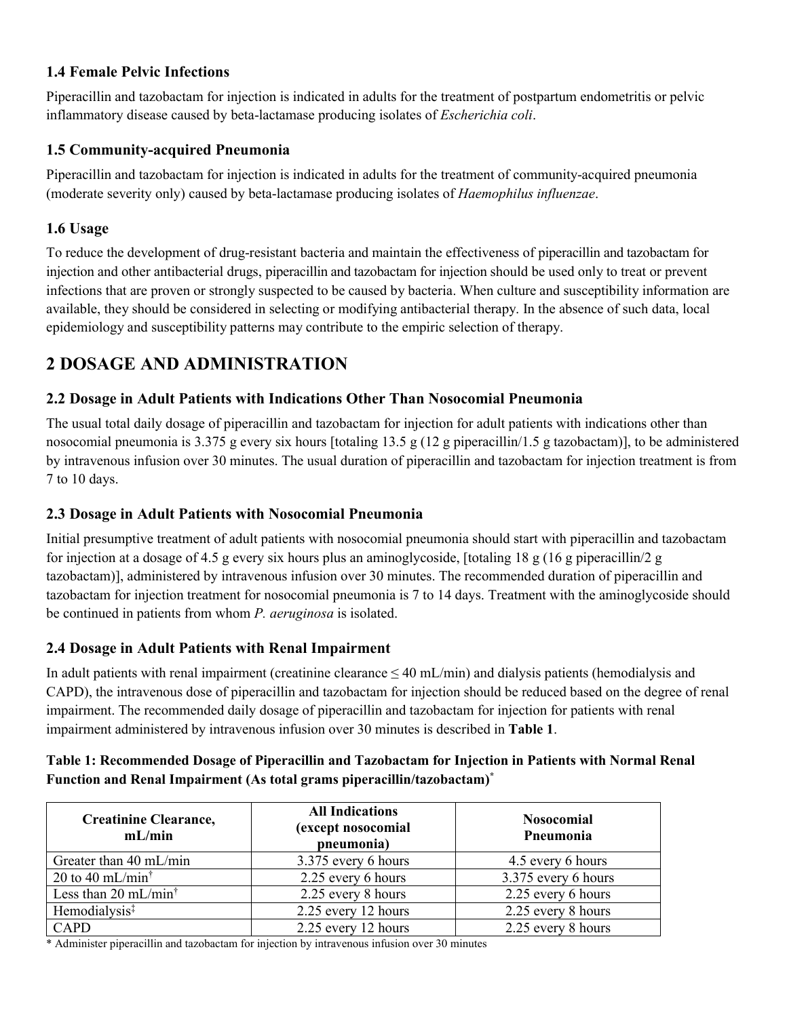# **1.4 Female Pelvic Infections**

Piperacillin and tazobactam for injection is indicated in adults for the treatment of postpartum endometritis or pelvic inflammatory disease caused by beta-lactamase producing isolates of *Escherichia coli*.

# **1.5 Community-acquired Pneumonia**

Piperacillin and tazobactam for injection is indicated in adults for the treatment of community-acquired pneumonia (moderate severity only) caused by beta-lactamase producing isolates of *Haemophilus influenzae*.

# **1.6 Usage**

To reduce the development of drug-resistant bacteria and maintain the effectiveness of piperacillin and tazobactam for injection and other antibacterial drugs, piperacillin and tazobactam for injection should be used only to treat or prevent infections that are proven or strongly suspected to be caused by bacteria. When culture and susceptibility information are available, they should be considered in selecting or modifying antibacterial therapy. In the absence of such data, local epidemiology and susceptibility patterns may contribute to the empiric selection of therapy.

# **2 DOSAGE AND ADMINISTRATION**

# **2.2 Dosage in Adult Patients with Indications Other Than Nosocomial Pneumonia**

The usual total daily dosage of piperacillin and tazobactam for injection for adult patients with indications other than nosocomial pneumonia is 3.375 g every six hours [totaling 13.5 g (12 g piperacillin/1.5 g tazobactam)], to be administered by intravenous infusion over 30 minutes. The usual duration of piperacillin and tazobactam for injection treatment is from 7 to 10 days.

# **2.3 Dosage in Adult Patients with Nosocomial Pneumonia**

Initial presumptive treatment of adult patients with nosocomial pneumonia should start with piperacillin and tazobactam for injection at a dosage of 4.5 g every six hours plus an aminoglycoside, [totaling 18 g (16 g piperacillin/2 g tazobactam)], administered by intravenous infusion over 30 minutes. The recommended duration of piperacillin and tazobactam for injection treatment for nosocomial pneumonia is 7 to 14 days. Treatment with the aminoglycoside should be continued in patients from whom *P. aeruginosa* is isolated.

# **2.4 Dosage in Adult Patients with Renal Impairment**

In adult patients with renal impairment (creatinine clearance  $\leq 40$  mL/min) and dialysis patients (hemodialysis and CAPD), the intravenous dose of piperacillin and tazobactam for injection should be reduced based on the degree of renal impairment. The recommended daily dosage of piperacillin and tazobactam for injection for patients with renal impairment administered by intravenous infusion over 30 minutes is described in **Table 1**.

| Table 1: Recommended Dosage of Piperacillin and Tazobactam for Injection in Patients with Normal Renal |
|--------------------------------------------------------------------------------------------------------|
| Function and Renal Impairment (As total grams piperacillin/tazobactam) <sup>*</sup>                    |

| <b>Creatinine Clearance,</b><br>mL/min              | <b>All Indications</b><br>(except nosocomial<br>pneumonia) | <b>Nosocomial</b><br>Pneumonia |
|-----------------------------------------------------|------------------------------------------------------------|--------------------------------|
| Greater than 40 mL/min                              | 3.375 every 6 hours                                        | 4.5 every 6 hours              |
| 20 to 40 mL/min <sup><math>\dagger</math></sup>     | 2.25 every 6 hours                                         | 3.375 every 6 hours            |
| Less than 20 mL/min <sup><math>\dagger</math></sup> | 2.25 every 8 hours                                         | 2.25 every 6 hours             |
| Hemodialysis <sup>‡</sup>                           | 2.25 every 12 hours                                        | 2.25 every 8 hours             |
| CAPD                                                | 2.25 every 12 hours                                        | 2.25 every 8 hours             |

\* Administer piperacillin and tazobactam for injection by intravenous infusion over 30 minutes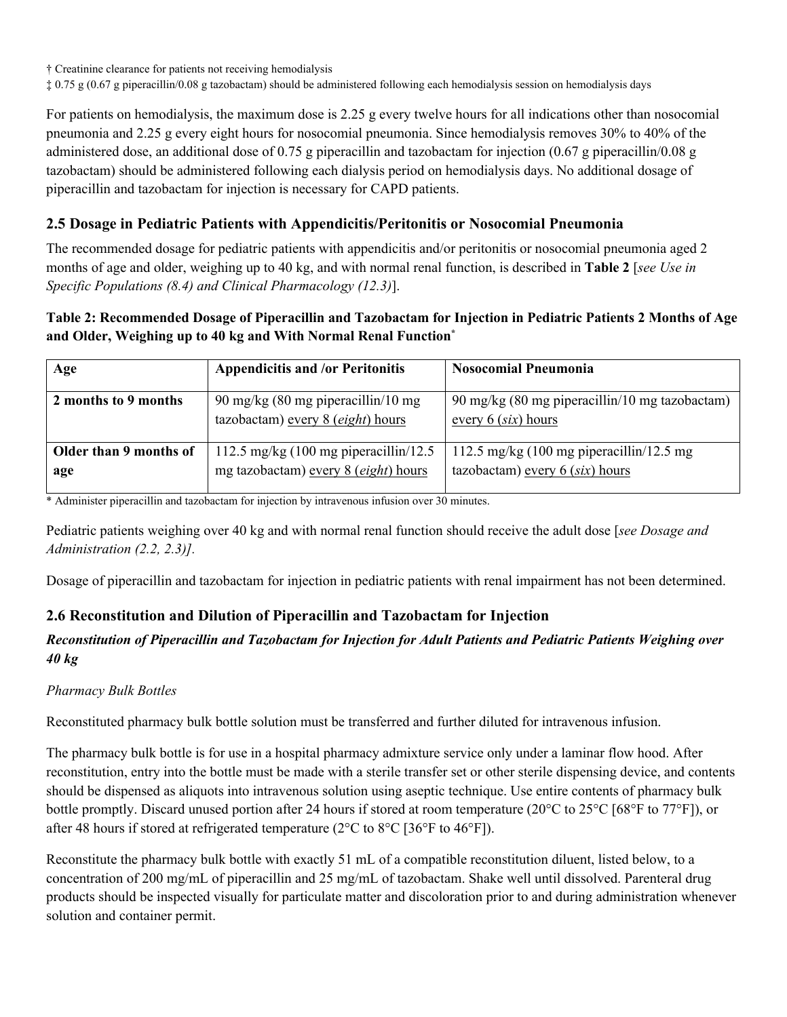† Creatinine clearance for patients not receiving hemodialysis

‡ 0.75 g (0.67 g piperacillin/0.08 g tazobactam) should be administered following each hemodialysis session on hemodialysis days

For patients on hemodialysis, the maximum dose is 2.25 g every twelve hours for all indications other than nosocomial pneumonia and 2.25 g every eight hours for nosocomial pneumonia. Since hemodialysis removes 30% to 40% of the administered dose, an additional dose of 0.75 g piperacillin and tazobactam for injection (0.67 g piperacillin/0.08 g tazobactam) should be administered following each dialysis period on hemodialysis days. No additional dosage of piperacillin and tazobactam for injection is necessary for CAPD patients.

# **2.5 Dosage in Pediatric Patients with Appendicitis/Peritonitis or Nosocomial Pneumonia**

The recommended dosage for pediatric patients with appendicitis and/or peritonitis or nosocomial pneumonia aged 2 months of age and older, weighing up to 40 kg, and with normal renal function, is described in **Table 2** [*see Use in Specific Populations (8.4) and Clinical Pharmacology (12.3)*].

# **Table 2: Recommended Dosage of Piperacillin and Tazobactam for Injection in Pediatric Patients 2 Months of Age and Older, Weighing up to 40 kg and With Normal Renal Function\***

| Age                           | <b>Appendicitis and /or Peritonitis</b>                                                    | <b>Nosocomial Pneumonia</b>                                                              |
|-------------------------------|--------------------------------------------------------------------------------------------|------------------------------------------------------------------------------------------|
| 2 months to 9 months          | 90 mg/kg $(80 \text{ mg piperacillin}/10 \text{ mg})$<br>tazobactam) every 8 (eight) hours | 90 mg/kg (80 mg piperacillin/10 mg tazobactam)<br>every $6$ ( <i>six</i> ) hours         |
| Older than 9 months of<br>age | 112.5 mg/kg $(100 \text{ mg piperacillin}/12.5)$<br>mg tazobactam) every 8 (eight) hours   | 112.5 mg/kg $(100 \text{ mg})$ piperacillin/12.5 mg<br>tazobactam) every $6$ (six) hours |

\* Administer piperacillin and tazobactam for injection by intravenous infusion over 30 minutes.

Pediatric patients weighing over 40 kg and with normal renal function should receive the adult dose [*see Dosage and Administration (2.2, 2.3)].*

Dosage of piperacillin and tazobactam for injection in pediatric patients with renal impairment has not been determined.

# **2.6 Reconstitution and Dilution of Piperacillin and Tazobactam for Injection**

# *Reconstitution of Piperacillin and Tazobactam for Injection for Adult Patients and Pediatric Patients Weighing over 40 kg*

### *Pharmacy Bulk Bottles*

Reconstituted pharmacy bulk bottle solution must be transferred and further diluted for intravenous infusion.

The pharmacy bulk bottle is for use in a hospital pharmacy admixture service only under a laminar flow hood. After reconstitution, entry into the bottle must be made with a sterile transfer set or other sterile dispensing device, and contents should be dispensed as aliquots into intravenous solution using aseptic technique. Use entire contents of pharmacy bulk bottle promptly. Discard unused portion after 24 hours if stored at room temperature (20°C to 25°C [68°F to 77°F]), or after 48 hours if stored at refrigerated temperature (2°C to 8°C [36°F to 46°F]).

Reconstitute the pharmacy bulk bottle with exactly 51 mL of a compatible reconstitution diluent, listed below, to a concentration of 200 mg/mL of piperacillin and 25 mg/mL of tazobactam. Shake well until dissolved. Parenteral drug products should be inspected visually for particulate matter and discoloration prior to and during administration whenever solution and container permit.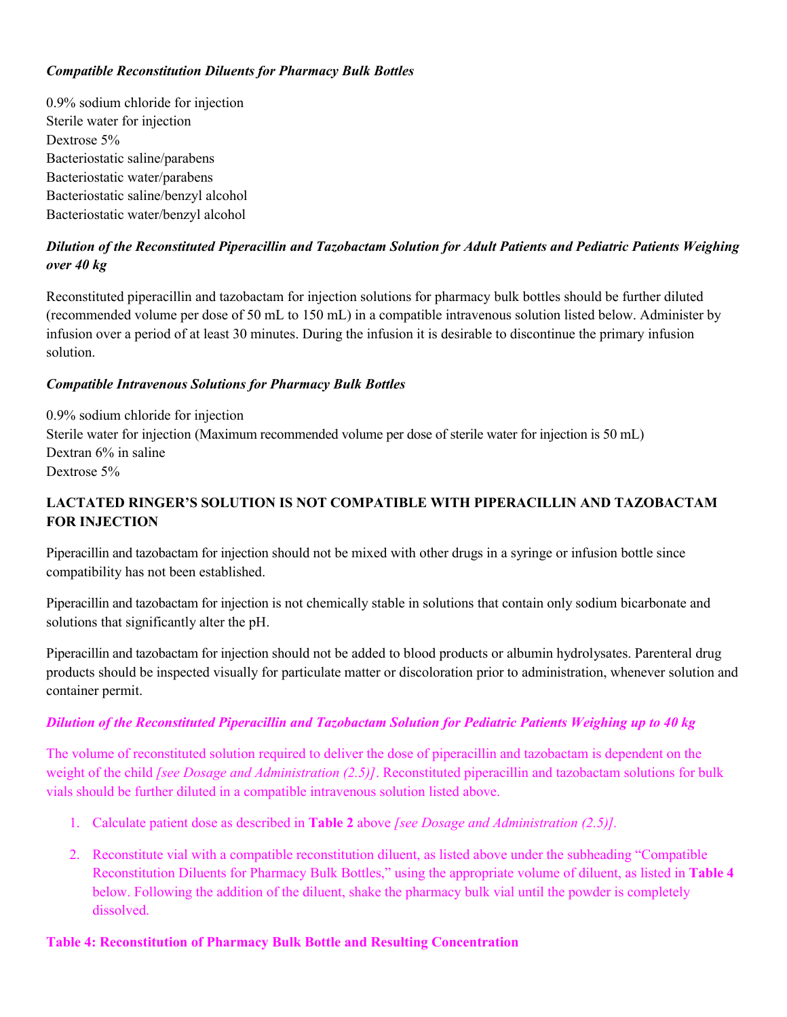### *Compatible Reconstitution Diluents for Pharmacy Bulk Bottles*

0.9% sodium chloride for injection Sterile water for injection Dextrose 5% Bacteriostatic saline/parabens Bacteriostatic water/parabens Bacteriostatic saline/benzyl alcohol Bacteriostatic water/benzyl alcohol

# *Dilution of the Reconstituted Piperacillin and Tazobactam Solution for Adult Patients and Pediatric Patients Weighing over 40 kg*

Reconstituted piperacillin and tazobactam for injection solutions for pharmacy bulk bottles should be further diluted (recommended volume per dose of 50 mL to 150 mL) in a compatible intravenous solution listed below. Administer by infusion over a period of at least 30 minutes. During the infusion it is desirable to discontinue the primary infusion solution.

### *Compatible Intravenous Solutions for Pharmacy Bulk Bottles*

0.9% sodium chloride for injection Sterile water for injection (Maximum recommended volume per dose of sterile water for injection is 50 mL) Dextran 6% in saline Dextrose 5%

# **LACTATED RINGER'S SOLUTION IS NOT COMPATIBLE WITH PIPERACILLIN AND TAZOBACTAM FOR INJECTION**

Piperacillin and tazobactam for injection should not be mixed with other drugs in a syringe or infusion bottle since compatibility has not been established.

Piperacillin and tazobactam for injection is not chemically stable in solutions that contain only sodium bicarbonate and solutions that significantly alter the pH.

Piperacillin and tazobactam for injection should not be added to blood products or albumin hydrolysates. Parenteral drug products should be inspected visually for particulate matter or discoloration prior to administration, whenever solution and container permit.

### *Dilution of the Reconstituted Piperacillin and Tazobactam Solution for Pediatric Patients Weighing up to 40 kg*

The volume of reconstituted solution required to deliver the dose of piperacillin and tazobactam is dependent on the weight of the child *[see Dosage and Administration (2.5)]*. Reconstituted piperacillin and tazobactam solutions for bulk vials should be further diluted in a compatible intravenous solution listed above.

- 1. Calculate patient dose as described in **Table 2** above *[see Dosage and Administration (2.5)].*
- 2. Reconstitute vial with a compatible reconstitution diluent, as listed above under the subheading "Compatible Reconstitution Diluents for Pharmacy Bulk Bottles," using the appropriate volume of diluent, as listed in **Table 4** below. Following the addition of the diluent, shake the pharmacy bulk vial until the powder is completely dissolved.

### **Table 4: Reconstitution of Pharmacy Bulk Bottle and Resulting Concentration**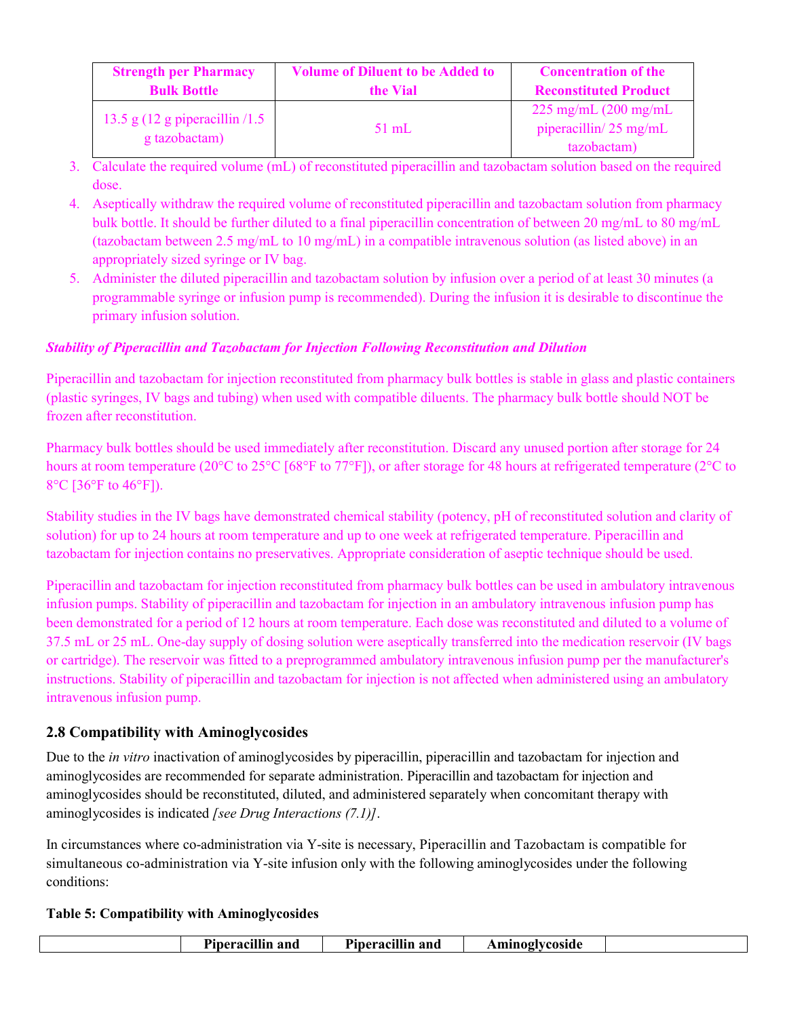| <b>Strength per Pharmacy</b><br><b>Bulk Bottle</b>        | <b>Volume of Diluent to be Added to</b><br>the Vial | <b>Concentration of the</b><br><b>Reconstituted Product</b>         |
|-----------------------------------------------------------|-----------------------------------------------------|---------------------------------------------------------------------|
| 13.5 g $(12 \text{ g piperacillin}/1.5)$<br>g tazobactam) | $51$ mL                                             | $225 \text{ mg/mL}$ (200 mg/mL)<br>piperacillin/ $25 \text{ mg/mL}$ |
|                                                           |                                                     | tazobactam)                                                         |

- 3. Calculate the required volume (mL) of reconstituted piperacillin and tazobactam solution based on the required dose.
- 4. Aseptically withdraw the required volume of reconstituted piperacillin and tazobactam solution from pharmacy bulk bottle. It should be further diluted to a final piperacillin concentration of between 20 mg/mL to 80 mg/mL (tazobactam between 2.5 mg/mL to 10 mg/mL) in a compatible intravenous solution (as listed above) in an appropriately sized syringe or IV bag.
- 5. Administer the diluted piperacillin and tazobactam solution by infusion over a period of at least 30 minutes (a programmable syringe or infusion pump is recommended). During the infusion it is desirable to discontinue the primary infusion solution.

# *Stability of Piperacillin and Tazobactam for Injection Following Reconstitution and Dilution*

Piperacillin and tazobactam for injection reconstituted from pharmacy bulk bottles is stable in glass and plastic containers (plastic syringes, IV bags and tubing) when used with compatible diluents. The pharmacy bulk bottle should NOT be frozen after reconstitution.

Pharmacy bulk bottles should be used immediately after reconstitution. Discard any unused portion after storage for 24 hours at room temperature (20°C to 25°C [68°F to 77°F]), or after storage for 48 hours at refrigerated temperature (2°C to 8°C [36°F to 46°F]).

Stability studies in the IV bags have demonstrated chemical stability (potency, pH of reconstituted solution and clarity of solution) for up to 24 hours at room temperature and up to one week at refrigerated temperature. Piperacillin and tazobactam for injection contains no preservatives. Appropriate consideration of aseptic technique should be used.

Piperacillin and tazobactam for injection reconstituted from pharmacy bulk bottles can be used in ambulatory intravenous infusion pumps. Stability of piperacillin and tazobactam for injection in an ambulatory intravenous infusion pump has been demonstrated for a period of 12 hours at room temperature. Each dose was reconstituted and diluted to a volume of 37.5 mL or 25 mL. One-day supply of dosing solution were aseptically transferred into the medication reservoir (IV bags or cartridge). The reservoir was fitted to a preprogrammed ambulatory intravenous infusion pump per the manufacturer's instructions. Stability of piperacillin and tazobactam for injection is not affected when administered using an ambulatory intravenous infusion pump.

# **2.8 Compatibility with Aminoglycosides**

Due to the *in vitro* inactivation of aminoglycosides by piperacillin, piperacillin and tazobactam for injection and aminoglycosides are recommended for separate administration. Piperacillin and tazobactam for injection and aminoglycosides should be reconstituted, diluted, and administered separately when concomitant therapy with aminoglycosides is indicated *[see Drug Interactions (7.1)]*.

In circumstances where co-administration via Y-site is necessary, Piperacillin and Tazobactam is compatible for simultaneous co-administration via Y-site infusion only with the following aminoglycosides under the following conditions:

# **Table 5: Compatibility with Aminoglycosides**

| `mınogiycosıd€<br>:ıllın and<br>and<br>$\mathbf{A}$ . $\mathbf{A}$<br>'ıneracı.<br>cıllır<br>и<br>TDE |  | $\sim$ $\sim$ | $\sim$<br>$\cdots$ |  |  |
|-------------------------------------------------------------------------------------------------------|--|---------------|--------------------|--|--|
|-------------------------------------------------------------------------------------------------------|--|---------------|--------------------|--|--|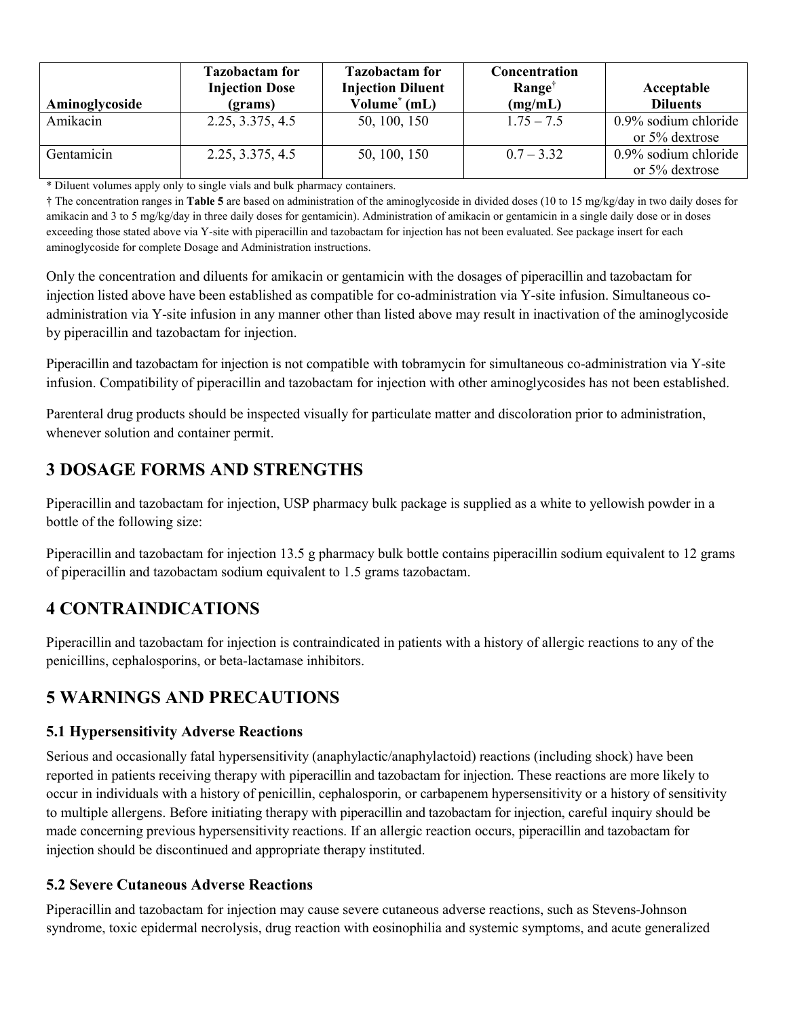| Aminoglycoside | <b>Tazobactam for</b><br><b>Injection Dose</b><br>(grams) | <b>Tazobactam for</b><br><b>Injection Diluent</b><br>Volume $*$ (mL) | Concentration<br>Range <sup>†</sup><br>(mg/mL) | Acceptable<br><b>Diluents</b>                |
|----------------|-----------------------------------------------------------|----------------------------------------------------------------------|------------------------------------------------|----------------------------------------------|
| Amikacin       | 2.25, 3.375, 4.5                                          | 50, 100, 150                                                         | $1.75 - 7.5$                                   | 0.9% sodium chloride<br>or $5\%$ dextrose    |
| Gentamicin     | 2.25, 3.375, 4.5                                          | 50, 100, 150                                                         | $0.7 - 3.32$                                   | $0.9\%$ sodium chloride<br>or $5\%$ dextrose |

\* Diluent volumes apply only to single vials and bulk pharmacy containers.

† The concentration ranges in **Table 5** are based on administration of the aminoglycoside in divided doses (10 to 15 mg/kg/day in two daily doses for amikacin and 3 to 5 mg/kg/day in three daily doses for gentamicin). Administration of amikacin or gentamicin in a single daily dose or in doses exceeding those stated above via Y-site with piperacillin and tazobactam for injection has not been evaluated. See package insert for each aminoglycoside for complete Dosage and Administration instructions.

Only the concentration and diluents for amikacin or gentamicin with the dosages of piperacillin and tazobactam for injection listed above have been established as compatible for co-administration via Y-site infusion. Simultaneous coadministration via Y-site infusion in any manner other than listed above may result in inactivation of the aminoglycoside by piperacillin and tazobactam for injection.

Piperacillin and tazobactam for injection is not compatible with tobramycin for simultaneous co-administration via Y-site infusion. Compatibility of piperacillin and tazobactam for injection with other aminoglycosides has not been established.

Parenteral drug products should be inspected visually for particulate matter and discoloration prior to administration, whenever solution and container permit.

# **3 DOSAGE FORMS AND STRENGTHS**

Piperacillin and tazobactam for injection, USP pharmacy bulk package is supplied as a white to yellowish powder in a bottle of the following size:

Piperacillin and tazobactam for injection 13.5 g pharmacy bulk bottle contains piperacillin sodium equivalent to 12 grams of piperacillin and tazobactam sodium equivalent to 1.5 grams tazobactam.

# **4 CONTRAINDICATIONS**

Piperacillin and tazobactam for injection is contraindicated in patients with a history of allergic reactions to any of the penicillins, cephalosporins, or beta-lactamase inhibitors.

# **5 WARNINGS AND PRECAUTIONS**

# **5.1 Hypersensitivity Adverse Reactions**

Serious and occasionally fatal hypersensitivity (anaphylactic/anaphylactoid) reactions (including shock) have been reported in patients receiving therapy with piperacillin and tazobactam for injection. These reactions are more likely to occur in individuals with a history of penicillin, cephalosporin, or carbapenem hypersensitivity or a history of sensitivity to multiple allergens. Before initiating therapy with piperacillin and tazobactam for injection, careful inquiry should be made concerning previous hypersensitivity reactions. If an allergic reaction occurs, piperacillin and tazobactam for injection should be discontinued and appropriate therapy instituted.

# **5.2 Severe Cutaneous Adverse Reactions**

Piperacillin and tazobactam for injection may cause severe cutaneous adverse reactions, such as Stevens-Johnson syndrome, toxic epidermal necrolysis, drug reaction with eosinophilia and systemic symptoms, and acute generalized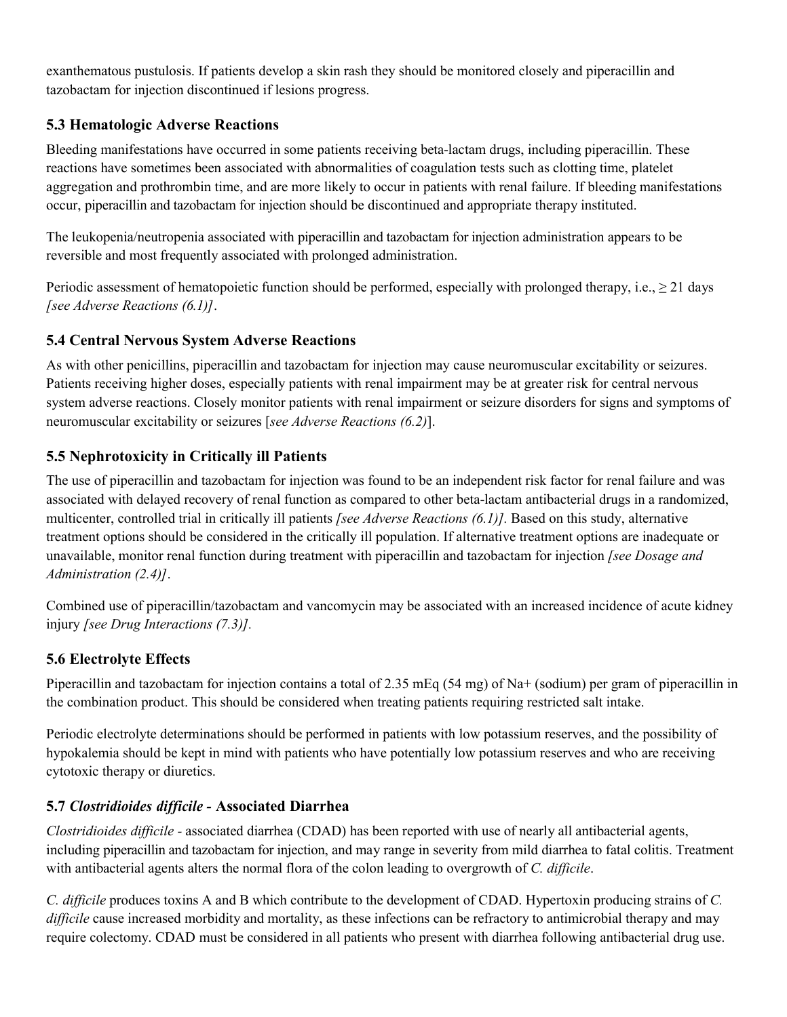exanthematous pustulosis. If patients develop a skin rash they should be monitored closely and piperacillin and tazobactam for injection discontinued if lesions progress.

# **5.3 Hematologic Adverse Reactions**

Bleeding manifestations have occurred in some patients receiving beta-lactam drugs, including piperacillin. These reactions have sometimes been associated with abnormalities of coagulation tests such as clotting time, platelet aggregation and prothrombin time, and are more likely to occur in patients with renal failure. If bleeding manifestations occur, piperacillin and tazobactam for injection should be discontinued and appropriate therapy instituted.

The leukopenia/neutropenia associated with piperacillin and tazobactam for injection administration appears to be reversible and most frequently associated with prolonged administration.

Periodic assessment of hematopoietic function should be performed, especially with prolonged therapy, i.e.,  $\geq 21$  days *[see Adverse Reactions (6.1)]*.

# **5.4 Central Nervous System Adverse Reactions**

As with other penicillins, piperacillin and tazobactam for injection may cause neuromuscular excitability or seizures. Patients receiving higher doses, especially patients with renal impairment may be at greater risk for central nervous system adverse reactions. Closely monitor patients with renal impairment or seizure disorders for signs and symptoms of neuromuscular excitability or seizures [*see Adverse Reactions (6.2)*].

# **5.5 Nephrotoxicity in Critically ill Patients**

The use of piperacillin and tazobactam for injection was found to be an independent risk factor for renal failure and was associated with delayed recovery of renal function as compared to other beta-lactam antibacterial drugs in a randomized, multicenter, controlled trial in critically ill patients *[see Adverse Reactions (6.1)].* Based on this study, alternative treatment options should be considered in the critically ill population. If alternative treatment options are inadequate or unavailable, monitor renal function during treatment with piperacillin and tazobactam for injection *[see Dosage and Administration (2.4)]*.

Combined use of piperacillin/tazobactam and vancomycin may be associated with an increased incidence of acute kidney injury *[see Drug Interactions (7.3)].*

# **5.6 Electrolyte Effects**

Piperacillin and tazobactam for injection contains a total of 2.35 mEq (54 mg) of Na+ (sodium) per gram of piperacillin in the combination product. This should be considered when treating patients requiring restricted salt intake.

Periodic electrolyte determinations should be performed in patients with low potassium reserves, and the possibility of hypokalemia should be kept in mind with patients who have potentially low potassium reserves and who are receiving cytotoxic therapy or diuretics.

# **5.7** *Clostridioides difficile -* **Associated Diarrhea**

*Clostridioides difficile -* associated diarrhea (CDAD) has been reported with use of nearly all antibacterial agents, including piperacillin and tazobactam for injection, and may range in severity from mild diarrhea to fatal colitis. Treatment with antibacterial agents alters the normal flora of the colon leading to overgrowth of *C. difficile*.

*C. difficile* produces toxins A and B which contribute to the development of CDAD. Hypertoxin producing strains of *C. difficile* cause increased morbidity and mortality, as these infections can be refractory to antimicrobial therapy and may require colectomy. CDAD must be considered in all patients who present with diarrhea following antibacterial drug use.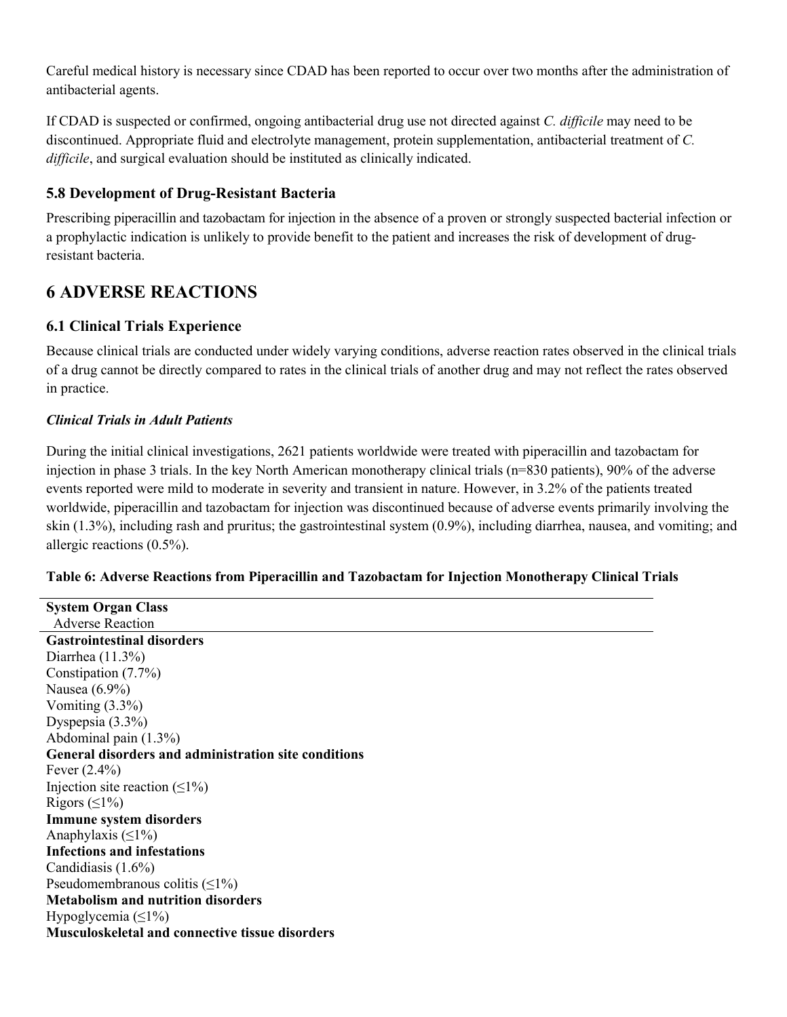Careful medical history is necessary since CDAD has been reported to occur over two months after the administration of antibacterial agents.

If CDAD is suspected or confirmed, ongoing antibacterial drug use not directed against *C. difficile* may need to be discontinued. Appropriate fluid and electrolyte management, protein supplementation, antibacterial treatment of *C. difficile*, and surgical evaluation should be instituted as clinically indicated.

# **5.8 Development of Drug-Resistant Bacteria**

Prescribing piperacillin and tazobactam for injection in the absence of a proven or strongly suspected bacterial infection or a prophylactic indication is unlikely to provide benefit to the patient and increases the risk of development of drugresistant bacteria.

# **6 ADVERSE REACTIONS**

# **6.1 Clinical Trials Experience**

Because clinical trials are conducted under widely varying conditions, adverse reaction rates observed in the clinical trials of a drug cannot be directly compared to rates in the clinical trials of another drug and may not reflect the rates observed in practice.

### *Clinical Trials in Adult Patients*

During the initial clinical investigations, 2621 patients worldwide were treated with piperacillin and tazobactam for injection in phase 3 trials. In the key North American monotherapy clinical trials (n=830 patients), 90% of the adverse events reported were mild to moderate in severity and transient in nature. However, in 3.2% of the patients treated worldwide, piperacillin and tazobactam for injection was discontinued because of adverse events primarily involving the skin (1.3%), including rash and pruritus; the gastrointestinal system (0.9%), including diarrhea, nausea, and vomiting; and allergic reactions (0.5%).

### **Table 6: Adverse Reactions from Piperacillin and Tazobactam for Injection Monotherapy Clinical Trials**

| <b>System Organ Class</b>                              |
|--------------------------------------------------------|
| <b>Adverse Reaction</b>                                |
| <b>Gastrointestinal disorders</b>                      |
| Diarrhea $(11.3\%)$                                    |
| Constipation (7.7%)                                    |
| Nausea $(6.9\%)$                                       |
| Vomiting $(3.3\%)$                                     |
| Dyspepsia $(3.3\%)$                                    |
| Abdominal pain (1.3%)                                  |
| General disorders and administration site conditions   |
| Fever $(2.4\%)$                                        |
| Injection site reaction $(\leq 1\%)$                   |
| Rigors $( \leq 1\%)$                                   |
| <b>Immune system disorders</b>                         |
| Anaphylaxis $(\leq 1\%)$                               |
| <b>Infections and infestations</b>                     |
| Candidiasis $(1.6\%)$                                  |
| Pseudomembranous colitis $(\leq 1\%)$                  |
| <b>Metabolism and nutrition disorders</b>              |
| Hypoglycemia $(\leq 1\%)$                              |
| <b>Musculoskeletal and connective tissue disorders</b> |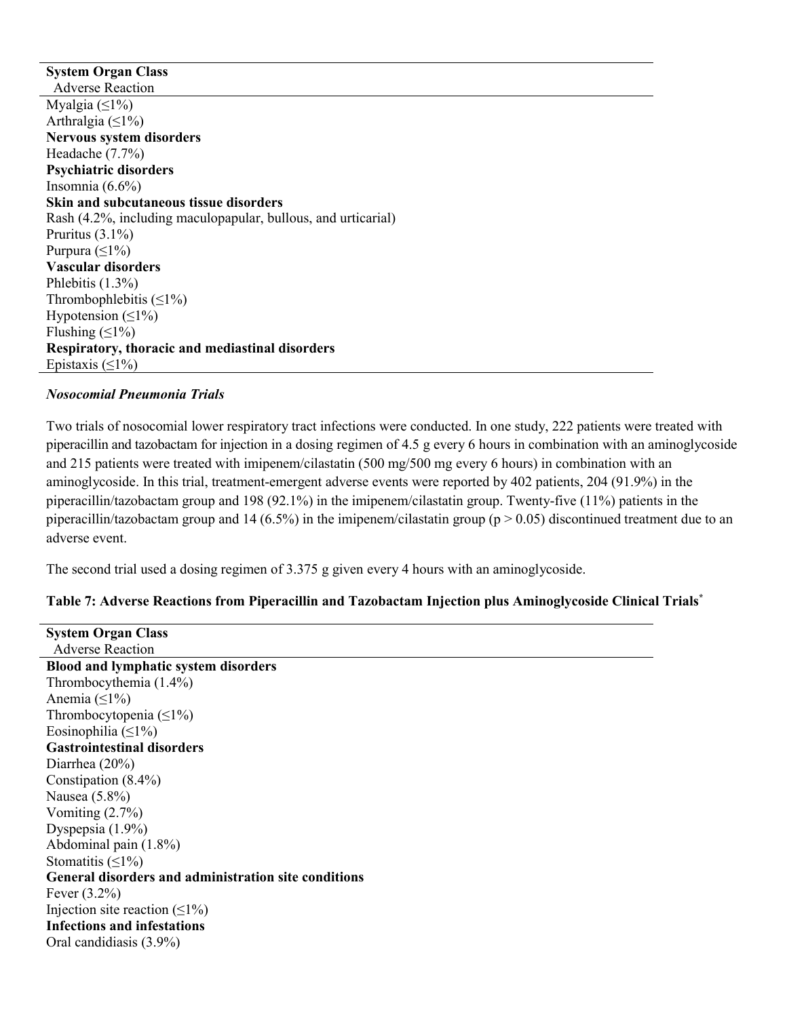**System Organ Class** Adverse Reaction Myalgia  $(≤1%)$ Arthralgia ( $\leq$ 1%) **Nervous system disorders** Headache (7.7%) **Psychiatric disorders** Insomnia (6.6%) **Skin and subcutaneous tissue disorders** Rash (4.2%, including maculopapular, bullous, and urticarial) Pruritus (3.1%) Purpura  $(\leq 1\%)$ **Vascular disorders** Phlebitis (1.3%) Thrombophlebitis  $(\leq 1\%)$ Hypotension  $(\leq 1\%)$ Flushing  $(\leq 1\%)$ **Respiratory, thoracic and mediastinal disorders** Epistaxis  $(\leq 1\%)$ 

#### *Nosocomial Pneumonia Trials*

Two trials of nosocomial lower respiratory tract infections were conducted. In one study, 222 patients were treated with piperacillin and tazobactam for injection in a dosing regimen of 4.5 g every 6 hours in combination with an aminoglycoside and 215 patients were treated with imipenem/cilastatin (500 mg/500 mg every 6 hours) in combination with an aminoglycoside. In this trial, treatment-emergent adverse events were reported by 402 patients, 204 (91.9%) in the piperacillin/tazobactam group and 198 (92.1%) in the imipenem/cilastatin group. Twenty-five (11%) patients in the piperacillin/tazobactam group and 14 (6.5%) in the imipenem/cilastatin group ( $p > 0.05$ ) discontinued treatment due to an adverse event.

The second trial used a dosing regimen of 3.375 g given every 4 hours with an aminoglycoside.

### **Table 7: Adverse Reactions from Piperacillin and Tazobactam Injection plus Aminoglycoside Clinical Trials\***

**System Organ Class** Adverse Reaction **Blood and lymphatic system disorders** Thrombocythemia (1.4%) Anemia ( $\leq$ 1%) Thrombocytopenia (≤1%) Eosinophilia ( $\leq$ 1%) **Gastrointestinal disorders** Diarrhea (20%) Constipation (8.4%) Nausea (5.8%) Vomiting (2.7%) Dyspepsia (1.9%) Abdominal pain (1.8%) Stomatitis  $(≤1%)$ **General disorders and administration site conditions** Fever (3.2%) Injection site reaction  $(\leq 1\%)$ **Infections and infestations** Oral candidiasis (3.9%)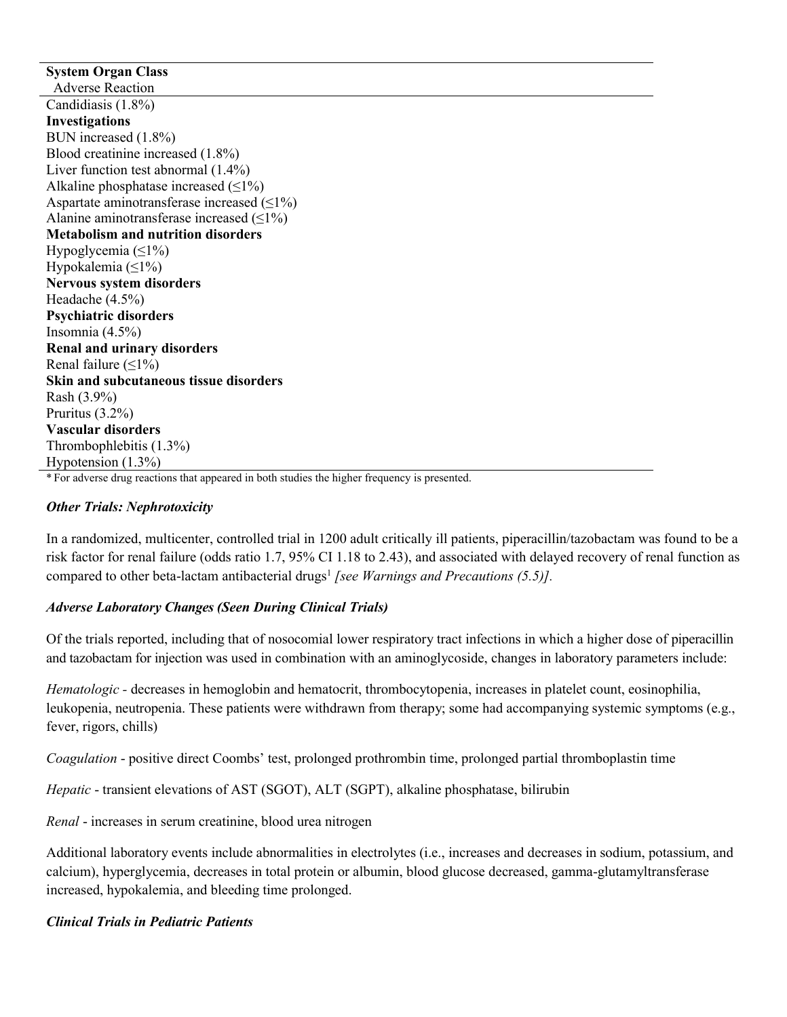#### **System Organ Class** Adverse Reaction Candidiasis (1.8%) **Investigations** BUN increased (1.8%) Blood creatinine increased (1.8%) Liver function test abnormal (1.4%) Alkaline phosphatase increased  $(\leq 1\%)$ Aspartate aminotransferase increased  $(\leq 1\%)$ Alanine aminotransferase increased  $(≤1%)$ **Metabolism and nutrition disorders** Hypoglycemia (≤1%) Hypokalemia ( $\leq$ 1%) **Nervous system disorders** Headache (4.5%) **Psychiatric disorders** Insomnia (4.5%) **Renal and urinary disorders** Renal failure  $(\leq 1\%)$ **Skin and subcutaneous tissue disorders** Rash (3.9%) Pruritus (3.2%) **Vascular disorders** Thrombophlebitis (1.3%) Hypotension (1.3%)

\* For adverse drug reactions that appeared in both studies the higher frequency is presented.

#### *Other Trials: Nephrotoxicity*

In a randomized, multicenter, controlled trial in 1200 adult critically ill patients, piperacillin/tazobactam was found to be a risk factor for renal failure (odds ratio 1.7, 95% CI 1.18 to 2.43), and associated with delayed recovery of renal function as compared to other beta-lactam antibacterial drugs<sup>1</sup> [see Warnings and Precautions (5.5)].

### *Adverse Laboratory Changes (Seen During Clinical Trials)*

Of the trials reported, including that of nosocomial lower respiratory tract infections in which a higher dose of piperacillin and tazobactam for injection was used in combination with an aminoglycoside, changes in laboratory parameters include:

*Hematologic* - decreases in hemoglobin and hematocrit, thrombocytopenia, increases in platelet count, eosinophilia, leukopenia, neutropenia. These patients were withdrawn from therapy; some had accompanying systemic symptoms (e.g., fever, rigors, chills)

*Coagulation* - positive direct Coombs' test, prolonged prothrombin time, prolonged partial thromboplastin time

*Hepatic* - transient elevations of AST (SGOT), ALT (SGPT), alkaline phosphatase, bilirubin

*Renal* - increases in serum creatinine, blood urea nitrogen

Additional laboratory events include abnormalities in electrolytes (i.e., increases and decreases in sodium, potassium, and calcium), hyperglycemia, decreases in total protein or albumin, blood glucose decreased, gamma-glutamyltransferase increased, hypokalemia, and bleeding time prolonged.

#### *Clinical Trials in Pediatric Patients*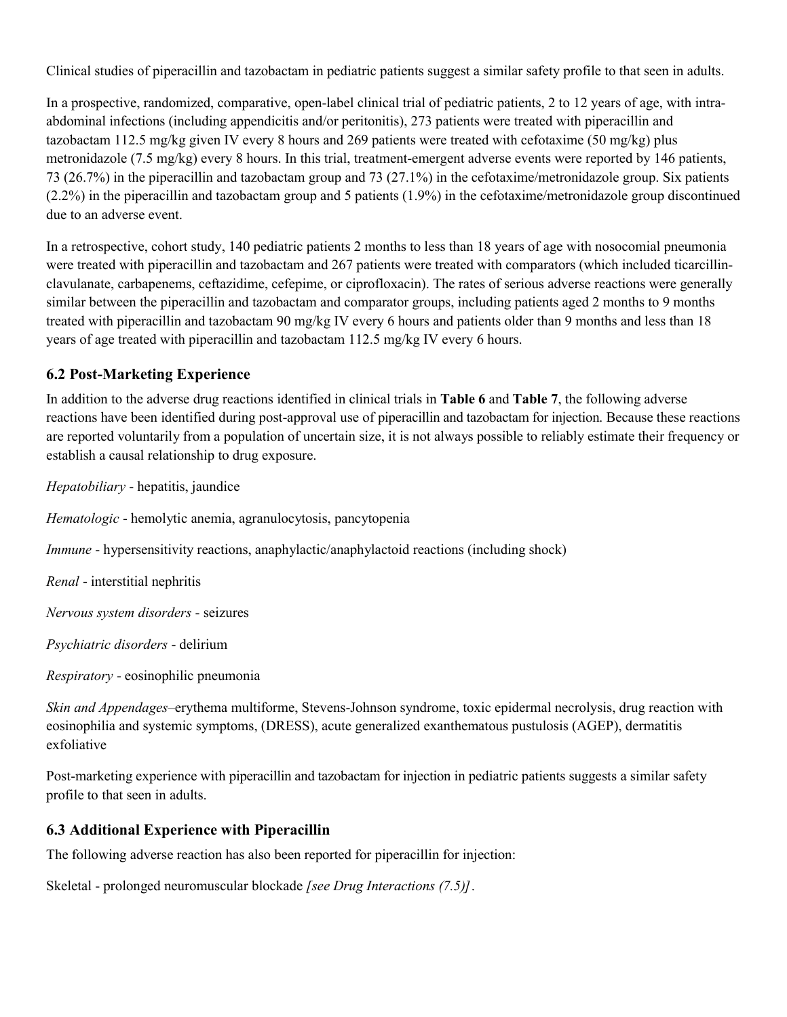Clinical studies of piperacillin and tazobactam in pediatric patients suggest a similar safety profile to that seen in adults.

In a prospective, randomized, comparative, open-label clinical trial of pediatric patients, 2 to 12 years of age, with intraabdominal infections (including appendicitis and/or peritonitis), 273 patients were treated with piperacillin and tazobactam 112.5 mg/kg given IV every 8 hours and 269 patients were treated with cefotaxime (50 mg/kg) plus metronidazole (7.5 mg/kg) every 8 hours. In this trial, treatment-emergent adverse events were reported by 146 patients, 73 (26.7%) in the piperacillin and tazobactam group and 73 (27.1%) in the cefotaxime/metronidazole group. Six patients (2.2%) in the piperacillin and tazobactam group and 5 patients (1.9%) in the cefotaxime/metronidazole group discontinued due to an adverse event.

In a retrospective, cohort study, 140 pediatric patients 2 months to less than 18 years of age with nosocomial pneumonia were treated with piperacillin and tazobactam and 267 patients were treated with comparators (which included ticarcillinclavulanate, carbapenems, ceftazidime, cefepime, or ciprofloxacin). The rates of serious adverse reactions were generally similar between the piperacillin and tazobactam and comparator groups, including patients aged 2 months to 9 months treated with piperacillin and tazobactam 90 mg/kg IV every 6 hours and patients older than 9 months and less than 18 years of age treated with piperacillin and tazobactam 112.5 mg/kg IV every 6 hours.

# **6.2 Post-Marketing Experience**

In addition to the adverse drug reactions identified in clinical trials in **Table 6** and **Table 7**, the following adverse reactions have been identified during post-approval use of piperacillin and tazobactam for injection. Because these reactions are reported voluntarily from a population of uncertain size, it is not always possible to reliably estimate their frequency or establish a causal relationship to drug exposure.

*Hepatobiliary* - hepatitis, jaundice

*Hematologic* - hemolytic anemia, agranulocytosis, pancytopenia

*Immune* - hypersensitivity reactions, anaphylactic/anaphylactoid reactions (including shock)

*Renal* - interstitial nephritis

*Nervous system disorders* - seizures

*Psychiatric disorders* - delirium

*Respiratory* - eosinophilic pneumonia

*Skin and Appendages*–erythema multiforme, Stevens-Johnson syndrome, toxic epidermal necrolysis, drug reaction with eosinophilia and systemic symptoms, (DRESS), acute generalized exanthematous pustulosis (AGEP), dermatitis exfoliative

Post-marketing experience with piperacillin and tazobactam for injection in pediatric patients suggests a similar safety profile to that seen in adults.

# **6.3 Additional Experience with Piperacillin**

The following adverse reaction has also been reported for piperacillin for injection:

Skeletal - prolonged neuromuscular blockade *[see Drug Interactions (7.5)]*.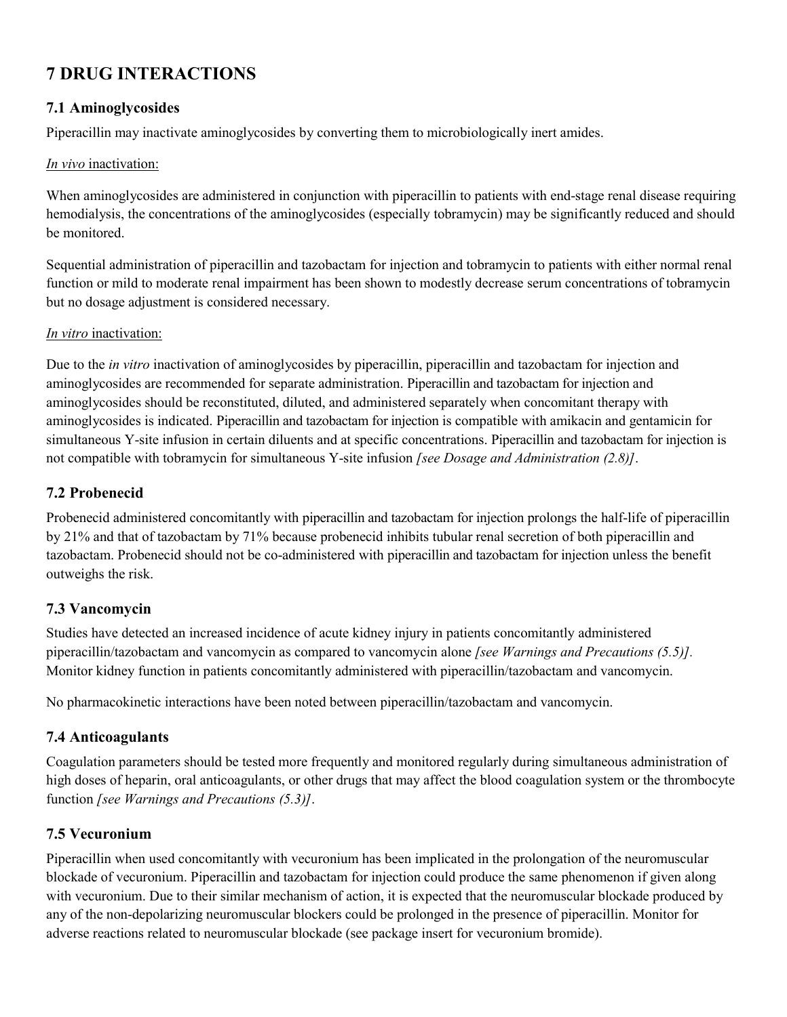# **7 DRUG INTERACTIONS**

# **7.1 Aminoglycosides**

Piperacillin may inactivate aminoglycosides by converting them to microbiologically inert amides.

### *In vivo* inactivation:

When aminoglycosides are administered in conjunction with piperacillin to patients with end-stage renal disease requiring hemodialysis, the concentrations of the aminoglycosides (especially tobramycin) may be significantly reduced and should be monitored.

Sequential administration of piperacillin and tazobactam for injection and tobramycin to patients with either normal renal function or mild to moderate renal impairment has been shown to modestly decrease serum concentrations of tobramycin but no dosage adjustment is considered necessary.

#### *In vitro* inactivation:

Due to the *in vitro* inactivation of aminoglycosides by piperacillin, piperacillin and tazobactam for injection and aminoglycosides are recommended for separate administration. Piperacillin and tazobactam for injection and aminoglycosides should be reconstituted, diluted, and administered separately when concomitant therapy with aminoglycosides is indicated. Piperacillin and tazobactam for injection is compatible with amikacin and gentamicin for simultaneous Y-site infusion in certain diluents and at specific concentrations. Piperacillin and tazobactam for injection is not compatible with tobramycin for simultaneous Y-site infusion *[see Dosage and Administration (2.8)]*.

### **7.2 Probenecid**

Probenecid administered concomitantly with piperacillin and tazobactam for injection prolongs the half-life of piperacillin by 21% and that of tazobactam by 71% because probenecid inhibits tubular renal secretion of both piperacillin and tazobactam. Probenecid should not be co-administered with piperacillin and tazobactam for injection unless the benefit outweighs the risk.

# **7.3 Vancomycin**

Studies have detected an increased incidence of acute kidney injury in patients concomitantly administered piperacillin/tazobactam and vancomycin as compared to vancomycin alone *[see Warnings and Precautions (5.5)].* Monitor kidney function in patients concomitantly administered with piperacillin/tazobactam and vancomycin.

No pharmacokinetic interactions have been noted between piperacillin/tazobactam and vancomycin.

# **7.4 Anticoagulants**

Coagulation parameters should be tested more frequently and monitored regularly during simultaneous administration of high doses of heparin, oral anticoagulants, or other drugs that may affect the blood coagulation system or the thrombocyte function *[see Warnings and Precautions (5.3)]*.

# **7.5 Vecuronium**

Piperacillin when used concomitantly with vecuronium has been implicated in the prolongation of the neuromuscular blockade of vecuronium. Piperacillin and tazobactam for injection could produce the same phenomenon if given along with vecuronium. Due to their similar mechanism of action, it is expected that the neuromuscular blockade produced by any of the non-depolarizing neuromuscular blockers could be prolonged in the presence of piperacillin. Monitor for adverse reactions related to neuromuscular blockade (see package insert for vecuronium bromide).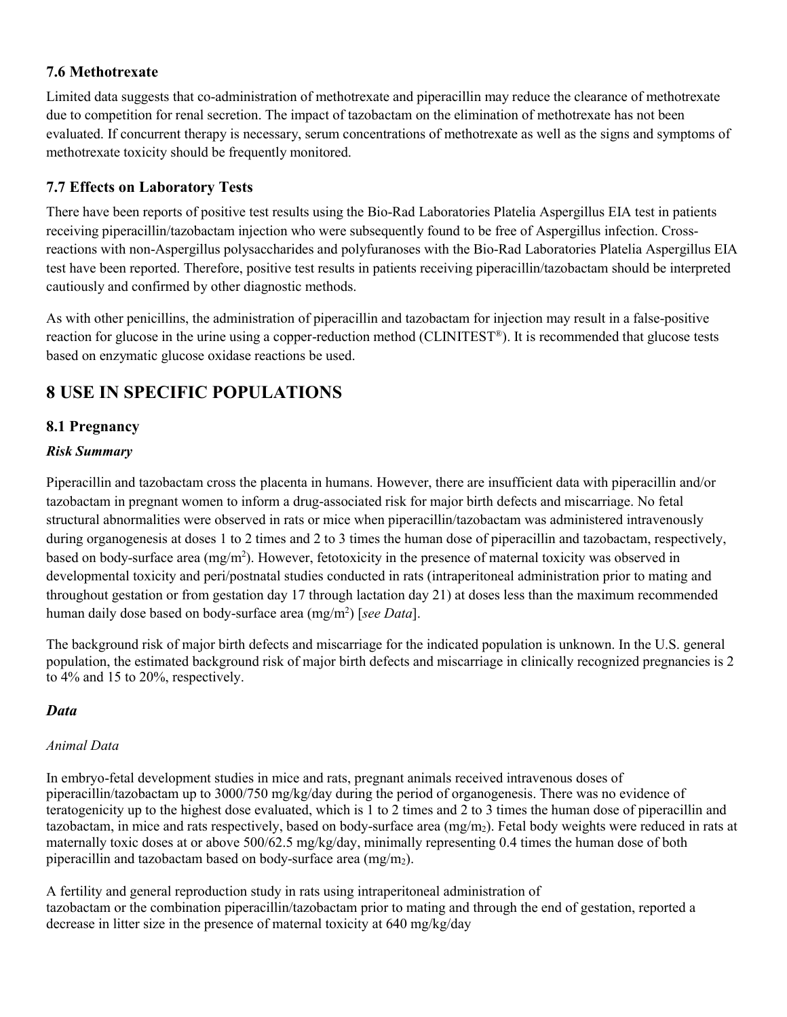# **7.6 Methotrexate**

Limited data suggests that co-administration of methotrexate and piperacillin may reduce the clearance of methotrexate due to competition for renal secretion. The impact of tazobactam on the elimination of methotrexate has not been evaluated. If concurrent therapy is necessary, serum concentrations of methotrexate as well as the signs and symptoms of methotrexate toxicity should be frequently monitored.

# **7.7 Effects on Laboratory Tests**

There have been reports of positive test results using the Bio-Rad Laboratories Platelia Aspergillus EIA test in patients receiving piperacillin/tazobactam injection who were subsequently found to be free of Aspergillus infection. Crossreactions with non-Aspergillus polysaccharides and polyfuranoses with the Bio-Rad Laboratories Platelia Aspergillus EIA test have been reported. Therefore, positive test results in patients receiving piperacillin/tazobactam should be interpreted cautiously and confirmed by other diagnostic methods.

As with other penicillins, the administration of piperacillin and tazobactam for injection may result in a false-positive reaction for glucose in the urine using a copper-reduction method (CLINITEST ®). It is recommended that glucose tests based on enzymatic glucose oxidase reactions be used.

# **8 USE IN SPECIFIC POPULATIONS**

# **8.1 Pregnancy**

### *Risk Summary*

Piperacillin and tazobactam cross the placenta in humans. However, there are insufficient data with piperacillin and/or tazobactam in pregnant women to inform a drug-associated risk for major birth defects and miscarriage. No fetal structural abnormalities were observed in rats or mice when piperacillin/tazobactam was administered intravenously during organogenesis at doses 1 to 2 times and 2 to 3 times the human dose of piperacillin and tazobactam, respectively, based on body-surface area (mg/m<sup>2</sup>). However, fetotoxicity in the presence of maternal toxicity was observed in developmental toxicity and peri/postnatal studies conducted in rats (intraperitoneal administration prior to mating and throughout gestation or from gestation day 17 through lactation day 21) at doses less than the maximum recommended human daily dose based on body-surface area (mg/m<sup>2</sup>) [*see Data*].

The background risk of major birth defects and miscarriage for the indicated population is unknown. In the U.S. general population, the estimated background risk of major birth defects and miscarriage in clinically recognized pregnancies is 2 to 4% and 15 to 20%, respectively.

# *Data*

### *Animal Data*

In embryo-fetal development studies in mice and rats, pregnant animals received intravenous doses of piperacillin/tazobactam up to 3000/750 mg/kg/day during the period of organogenesis. There was no evidence of teratogenicity up to the highest dose evaluated, which is 1 to 2 times and 2 to 3 times the human dose of piperacillin and tazobactam, in mice and rats respectively, based on body-surface area  $(mg/m<sub>2</sub>)$ . Fetal body weights were reduced in rats at maternally toxic doses at or above 500/62.5 mg/kg/day, minimally representing 0.4 times the human dose of both piperacillin and tazobactam based on body-surface area  $(mg/m<sub>2</sub>)$ .

A fertility and general reproduction study in rats using intraperitoneal administration of tazobactam or the combination piperacillin/tazobactam prior to mating and through the end of gestation, reported a decrease in litter size in the presence of maternal toxicity at 640 mg/kg/day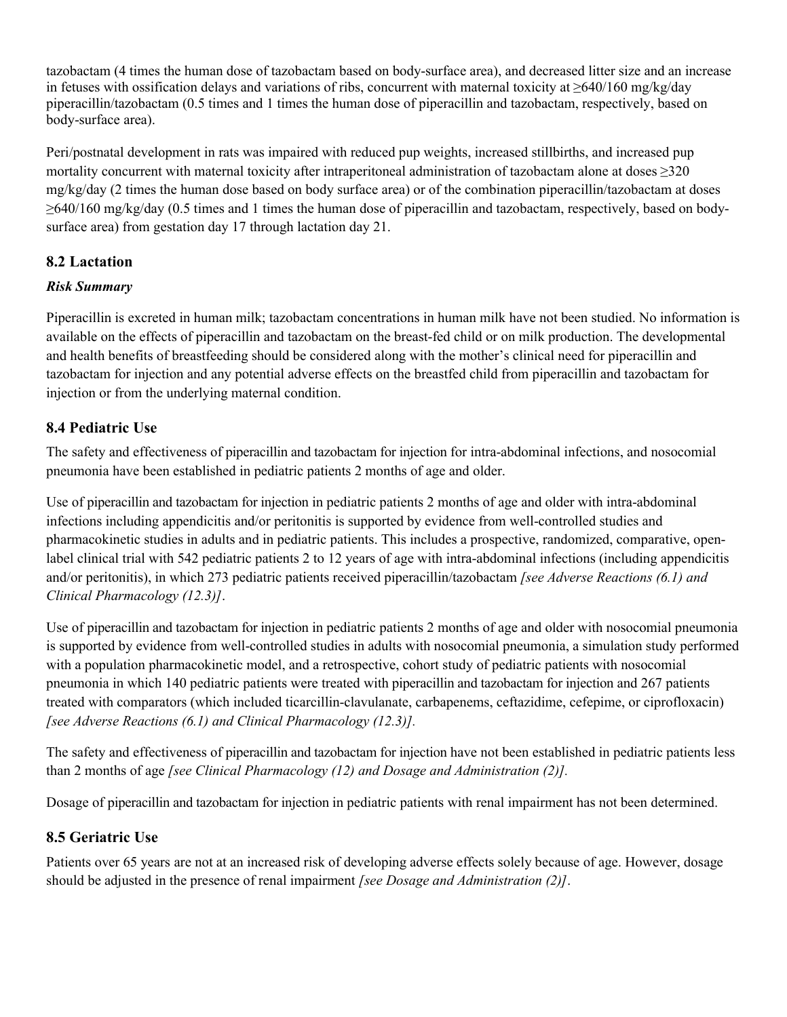tazobactam (4 times the human dose of tazobactam based on body-surface area), and decreased litter size and an increase in fetuses with ossification delays and variations of ribs, concurrent with maternal toxicity at ≥640/160 mg/kg/day piperacillin/tazobactam (0.5 times and 1 times the human dose of piperacillin and tazobactam, respectively, based on body-surface area).

Peri/postnatal development in rats was impaired with reduced pup weights, increased stillbirths, and increased pup mortality concurrent with maternal toxicity after intraperitoneal administration of tazobactam alone at doses ≥320 mg/kg/day (2 times the human dose based on body surface area) or of the combination piperacillin/tazobactam at doses ≥640/160 mg/kg/day (0.5 times and 1 times the human dose of piperacillin and tazobactam, respectively, based on bodysurface area) from gestation day 17 through lactation day 21.

# **8.2 Lactation**

### *Risk Summary*

Piperacillin is excreted in human milk; tazobactam concentrations in human milk have not been studied. No information is available on the effects of piperacillin and tazobactam on the breast-fed child or on milk production. The developmental and health benefits of breastfeeding should be considered along with the mother's clinical need for piperacillin and tazobactam for injection and any potential adverse effects on the breastfed child from piperacillin and tazobactam for injection or from the underlying maternal condition.

# **8.4 Pediatric Use**

The safety and effectiveness of piperacillin and tazobactam for injection for intra-abdominal infections, and nosocomial pneumonia have been established in pediatric patients 2 months of age and older.

Use of piperacillin and tazobactam for injection in pediatric patients 2 months of age and older with intra-abdominal infections including appendicitis and/or peritonitis is supported by evidence from well-controlled studies and pharmacokinetic studies in adults and in pediatric patients. This includes a prospective, randomized, comparative, openlabel clinical trial with 542 pediatric patients 2 to 12 years of age with intra-abdominal infections (including appendicitis and/or peritonitis), in which 273 pediatric patients received piperacillin/tazobactam *[see Adverse Reactions (6.1) and Clinical Pharmacology (12.3)]*.

Use of piperacillin and tazobactam for injection in pediatric patients 2 months of age and older with nosocomial pneumonia is supported by evidence from well-controlled studies in adults with nosocomial pneumonia, a simulation study performed with a population pharmacokinetic model, and a retrospective, cohort study of pediatric patients with nosocomial pneumonia in which 140 pediatric patients were treated with piperacillin and tazobactam for injection and 267 patients treated with comparators (which included ticarcillin-clavulanate, carbapenems, ceftazidime, cefepime, or ciprofloxacin) *[see Adverse Reactions (6.1) and Clinical Pharmacology (12.3)].*

The safety and effectiveness of piperacillin and tazobactam for injection have not been established in pediatric patients less than 2 months of age *[see Clinical Pharmacology (12) and Dosage and Administration (2)].*

Dosage of piperacillin and tazobactam for injection in pediatric patients with renal impairment has not been determined.

# **8.5 Geriatric Use**

Patients over 65 years are not at an increased risk of developing adverse effects solely because of age. However, dosage should be adjusted in the presence of renal impairment *[see Dosage and Administration (2)]*.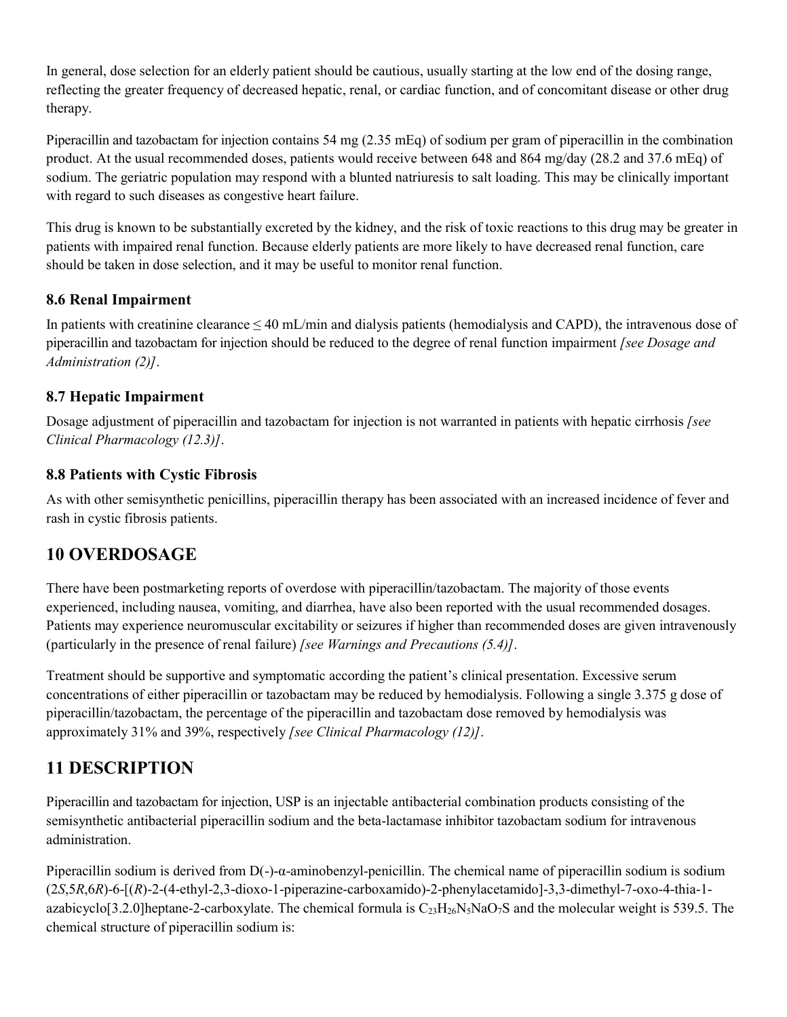In general, dose selection for an elderly patient should be cautious, usually starting at the low end of the dosing range, reflecting the greater frequency of decreased hepatic, renal, or cardiac function, and of concomitant disease or other drug therapy.

Piperacillin and tazobactam for injection contains 54 mg (2.35 mEq) of sodium per gram of piperacillin in the combination product. At the usual recommended doses, patients would receive between 648 and 864 mg/day (28.2 and 37.6 mEq) of sodium. The geriatric population may respond with a blunted natriuresis to salt loading. This may be clinically important with regard to such diseases as congestive heart failure.

This drug is known to be substantially excreted by the kidney, and the risk of toxic reactions to this drug may be greater in patients with impaired renal function. Because elderly patients are more likely to have decreased renal function, care should be taken in dose selection, and it may be useful to monitor renal function.

# **8.6 Renal Impairment**

In patients with creatinine clearance  $\leq 40$  mL/min and dialysis patients (hemodialysis and CAPD), the intravenous dose of piperacillin and tazobactam for injection should be reduced to the degree of renal function impairment *[see Dosage and Administration (2)]*.

# **8.7 Hepatic Impairment**

Dosage adjustment of piperacillin and tazobactam for injection is not warranted in patients with hepatic cirrhosis *[see Clinical Pharmacology (12.3)]*.

# **8.8 Patients with Cystic Fibrosis**

As with other semisynthetic penicillins, piperacillin therapy has been associated with an increased incidence of fever and rash in cystic fibrosis patients.

# **10 OVERDOSAGE**

There have been postmarketing reports of overdose with piperacillin/tazobactam. The majority of those events experienced, including nausea, vomiting, and diarrhea, have also been reported with the usual recommended dosages. Patients may experience neuromuscular excitability or seizures if higher than recommended doses are given intravenously (particularly in the presence of renal failure) *[see Warnings and Precautions (5.4)]*.

Treatment should be supportive and symptomatic according the patient's clinical presentation. Excessive serum concentrations of either piperacillin or tazobactam may be reduced by hemodialysis. Following a single 3.375 g dose of piperacillin/tazobactam, the percentage of the piperacillin and tazobactam dose removed by hemodialysis was approximately 31% and 39%, respectively *[see Clinical Pharmacology (12)]*.

# **11 DESCRIPTION**

Piperacillin and tazobactam for injection, USP is an injectable antibacterial combination products consisting of the semisynthetic antibacterial piperacillin sodium and the beta-lactamase inhibitor tazobactam sodium for intravenous administration.

Piperacillin sodium is derived from D(-)-α-aminobenzyl-penicillin. The chemical name of piperacillin sodium is sodium (2*S*,5*R*,6*R*)-6-[(*R*)-2-(4-ethyl-2,3-dioxo-1-piperazine-carboxamido)-2-phenylacetamido]-3,3-dimethyl-7-oxo-4-thia-1 azabicyclo[3.2.0]heptane-2-carboxylate. The chemical formula is  $C_{23}H_{26}N_5N_4O_7S$  and the molecular weight is 539.5. The chemical structure of piperacillin sodium is: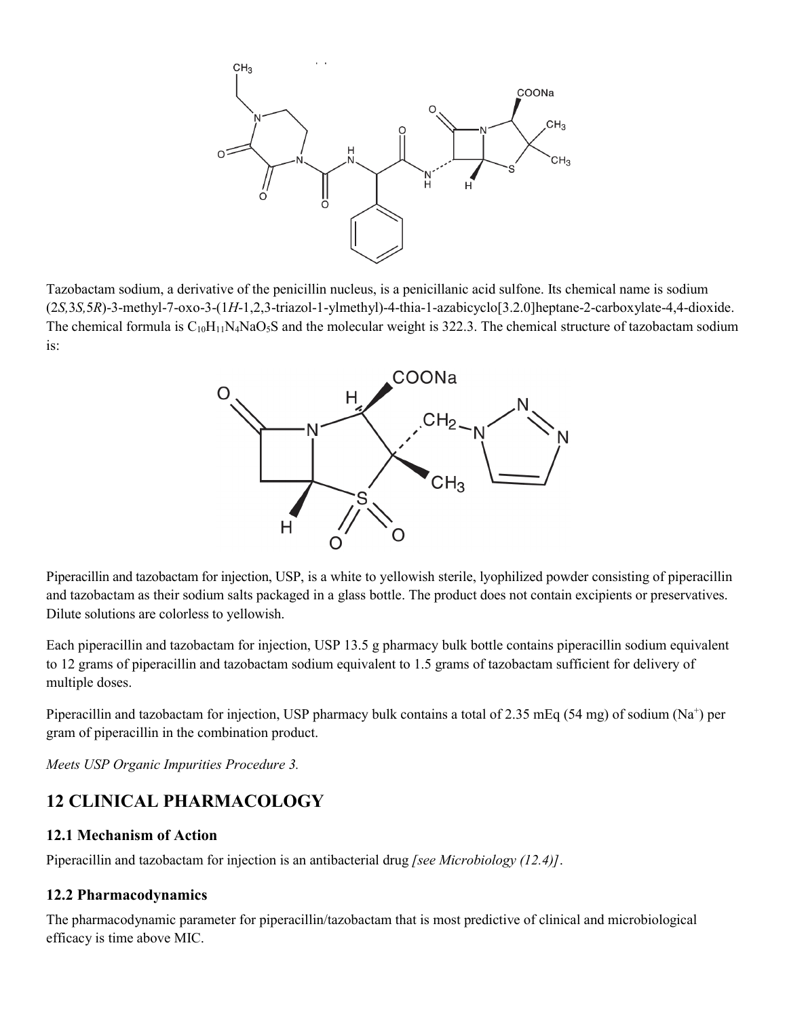

Tazobactam sodium, a derivative of the penicillin nucleus, is a penicillanic acid sulfone. Its chemical name is sodium (2*S,*3*S,*5*R*)-3-methyl-7-oxo-3-(1*H*-1,2,3-triazol-1-ylmethyl)-4-thia-1-azabicyclo[3.2.0]heptane-2-carboxylate-4,4-dioxide. The chemical formula is  $C_{10}H_{11}N_4N_4O_5S$  and the molecular weight is 322.3. The chemical structure of tazobactam sodium is:



Piperacillin and tazobactam for injection, USP, is a white to yellowish sterile, lyophilized powder consisting of piperacillin and tazobactam as their sodium salts packaged in a glass bottle. The product does not contain excipients or preservatives. Dilute solutions are colorless to yellowish.

Each piperacillin and tazobactam for injection, USP 13.5 g pharmacy bulk bottle contains piperacillin sodium equivalent to 12 grams of piperacillin and tazobactam sodium equivalent to 1.5 grams of tazobactam sufficient for delivery of multiple doses.

Piperacillin and tazobactam for injection, USP pharmacy bulk contains a total of 2.35 mEq (54 mg) of sodium ( $Na^+$ ) per gram of piperacillin in the combination product.

*Meets USP Organic Impurities Procedure 3.*

# **12 CLINICAL PHARMACOLOGY**

### **12.1 Mechanism of Action**

Piperacillin and tazobactam for injection is an antibacterial drug *[see Microbiology (12.4)]*.

### **12.2 Pharmacodynamics**

The pharmacodynamic parameter for piperacillin/tazobactam that is most predictive of clinical and microbiological efficacy is time above MIC.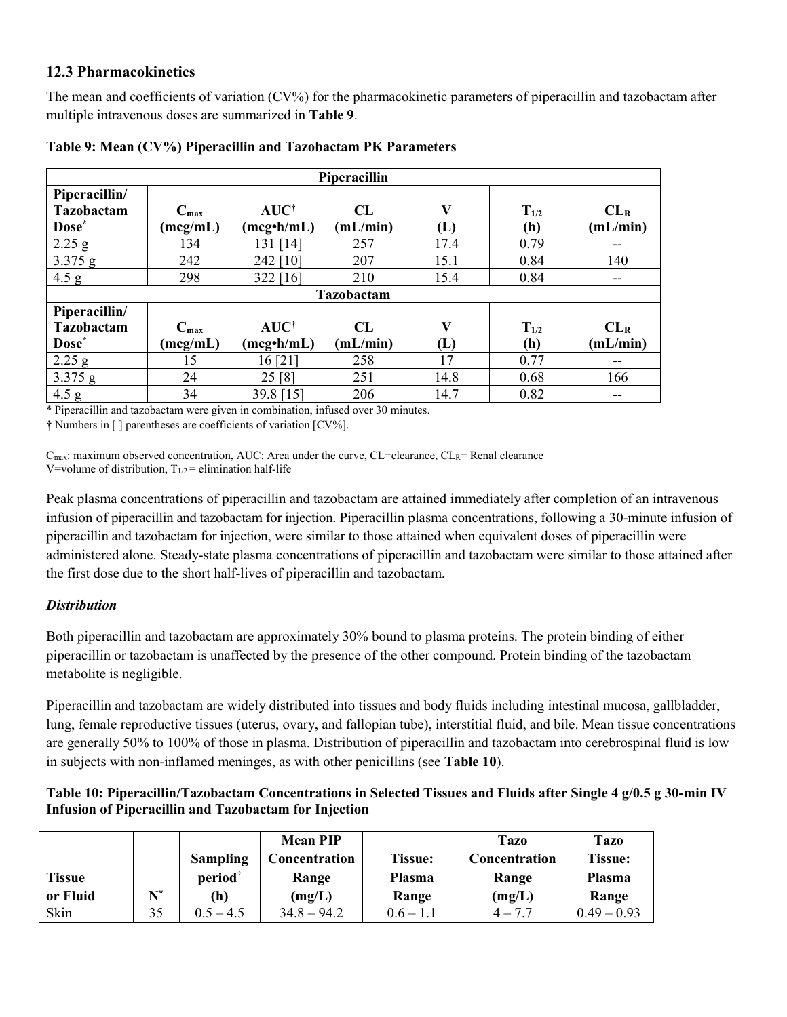### **12.3 Pharmacokinetics**

The mean and coefficients of variation (CV%) for the pharmacokinetic parameters of piperacillin and tazobactam after multiple intravenous doses are summarized in **Table 9**.

| Piperacillin      |                  |                         |            |      |           |                 |  |  |
|-------------------|------------------|-------------------------|------------|------|-----------|-----------------|--|--|
| Piperacillin/     |                  |                         |            |      |           |                 |  |  |
| Tazobactam        | $C_{\max}$       | $AUC^{\dagger}$         | CL         | V    | $T_{1/2}$ | CL <sub>R</sub> |  |  |
| Dose <sup>*</sup> | (mcg/mL)         | (mcg <sup>•</sup> h/mL) | (mL/min)   | (L)  | (h)       | (mL/min)        |  |  |
| $2.25$ g          | 134              | 131 [14]                | 257        | 17.4 | 0.79      | --              |  |  |
| 3.375 g           | 242              | 242 [10]                | 207        | 15.1 | 0.84      | 140             |  |  |
| 4.5 g             | 298              | 322 [16]                | 210        | 15.4 | 0.84      | --              |  |  |
|                   |                  |                         | Tazobactam |      |           |                 |  |  |
| Piperacillin/     |                  |                         |            |      |           |                 |  |  |
| Tazobactam        | $C_{\text{max}}$ | $AUC^{\dagger}$         | CL         | V    | $T_{1/2}$ | CL <sub>R</sub> |  |  |
| Dose <sup>*</sup> | (mcg/mL)         | $(mcg\cdot h/mL)$       | (mL/min)   | (L)  | (h)       | (mL/min)        |  |  |
| $2.25$ g          | 15               | 16[21]                  | 258        | 17   | 0.77      | --              |  |  |
| 3.375 g           | 24               | 25 [8]                  | 251        | 14.8 | 0.68      | 166             |  |  |
| 4.5 g             | 34               | 39.8 [15]               | 206        | 14.7 | 0.82      | --              |  |  |

|  | Table 9: Mean (CV%) Piperacillin and Tazobactam PK Parameters |  |
|--|---------------------------------------------------------------|--|
|  |                                                               |  |

\* Piperacillin and tazobactam were given in combination, infused over 30 minutes.

† Numbers in [ ] parentheses are coefficients of variation [CV%].

 $C_{\text{max}}$ : maximum observed concentration, AUC: Area under the curve, CL=clearance, CL<sub>R</sub>= Renal clearance V=volume of distribution,  $T_{1/2}$  = elimination half-life

Peak plasma concentrations of piperacillin and tazobactam are attained immediately after completion of an intravenous infusion of piperacillin and tazobactam for injection. Piperacillin plasma concentrations, following a 30-minute infusion of piperacillin and tazobactam for injection, were similar to those attained when equivalent doses of piperacillin were administered alone. Steady-state plasma concentrations of piperacillin and tazobactam were similar to those attained after the first dose due to the short half-lives of piperacillin and tazobactam.

### *Distribution*

Both piperacillin and tazobactam are approximately 30% bound to plasma proteins. The protein binding of either piperacillin or tazobactam is unaffected by the presence of the other compound. Protein binding of the tazobactam metabolite is negligible.

Piperacillin and tazobactam are widely distributed into tissues and body fluids including intestinal mucosa, gallbladder, lung, female reproductive tissues (uterus, ovary, and fallopian tube), interstitial fluid, and bile. Mean tissue concentrations are generally 50% to 100% of those in plasma. Distribution of piperacillin and tazobactam into cerebrospinal fluid is low in subjects with non-inflamed meninges, as with other penicillins (see **Table 10**).

#### **Table 10: Piperacillin/Tazobactam Concentrations in Selected Tissues and Fluids after Single 4 g/0.5 g 30-min IV Infusion of Piperacillin and Tazobactam for Injection**

|               |                |                     | <b>Mean PIP</b> |                | <b>Tazo</b>   | Tazo           |
|---------------|----------------|---------------------|-----------------|----------------|---------------|----------------|
|               |                | <b>Sampling</b>     | Concentration   | <b>Tissue:</b> | Concentration | <b>Tissue:</b> |
| <b>Tissue</b> |                | period <sup>†</sup> | Range           | <b>Plasma</b>  | Range         | <b>Plasma</b>  |
| or Fluid      | $\mathbf{N}^*$ | (h)                 | (mg/L)          | Range          | (mg/L)        | Range          |
| Skin          | 35             | $0.5 - 4.5$         | $34.8 - 94.2$   | $0.6 - 1.1$    | $4 - 7.7$     | $0.49 - 0.93$  |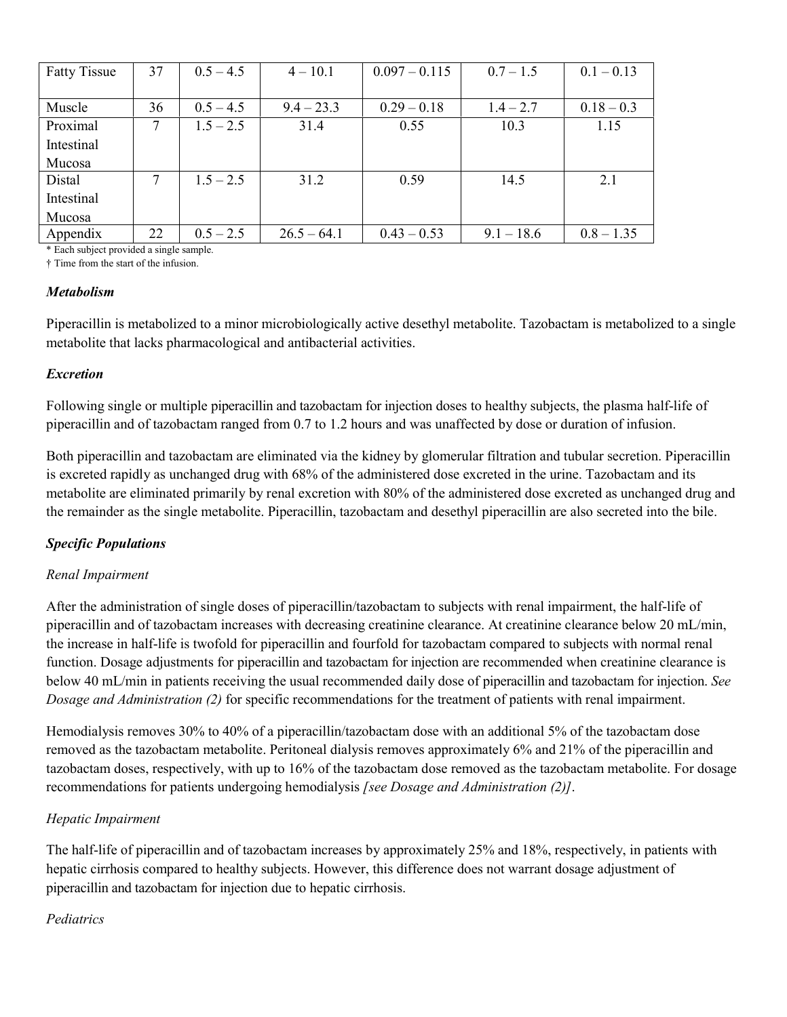| <b>Fatty Tissue</b> | 37 | $0.5 - 4.5$ | $4 - 10.1$    | $0.097 - 0.115$ | $0.7 - 1.5$  | $0.1 - 0.13$ |
|---------------------|----|-------------|---------------|-----------------|--------------|--------------|
|                     |    |             |               |                 |              |              |
| Muscle              | 36 | $0.5 - 4.5$ | $9.4 - 23.3$  | $0.29 - 0.18$   | $1.4 - 2.7$  | $0.18 - 0.3$ |
| Proximal            | 7  | $1.5 - 2.5$ | 31.4          | 0.55            | 10.3         | 1.15         |
| Intestinal          |    |             |               |                 |              |              |
| Mucosa              |    |             |               |                 |              |              |
| Distal              | 7  | $1.5 - 2.5$ | 31.2          | 0.59            | 14.5         | 2.1          |
| Intestinal          |    |             |               |                 |              |              |
| Mucosa              |    |             |               |                 |              |              |
| Appendix            | 22 | $0.5 - 2.5$ | $26.5 - 64.1$ | $0.43 - 0.53$   | $9.1 - 18.6$ | $0.8 - 1.35$ |

\* Each subject provided a single sample.

† Time from the start of the infusion.

#### *Metabolism*

Piperacillin is metabolized to a minor microbiologically active desethyl metabolite. Tazobactam is metabolized to a single metabolite that lacks pharmacological and antibacterial activities.

#### *Excretion*

Following single or multiple piperacillin and tazobactam for injection doses to healthy subjects, the plasma half-life of piperacillin and of tazobactam ranged from 0.7 to 1.2 hours and was unaffected by dose or duration of infusion.

Both piperacillin and tazobactam are eliminated via the kidney by glomerular filtration and tubular secretion. Piperacillin is excreted rapidly as unchanged drug with 68% of the administered dose excreted in the urine. Tazobactam and its metabolite are eliminated primarily by renal excretion with 80% of the administered dose excreted as unchanged drug and the remainder as the single metabolite. Piperacillin, tazobactam and desethyl piperacillin are also secreted into the bile.

### *Specific Populations*

### *Renal Impairment*

After the administration of single doses of piperacillin/tazobactam to subjects with renal impairment, the half-life of piperacillin and of tazobactam increases with decreasing creatinine clearance. At creatinine clearance below 20 mL/min, the increase in half-life is twofold for piperacillin and fourfold for tazobactam compared to subjects with normal renal function. Dosage adjustments for piperacillin and tazobactam for injection are recommended when creatinine clearance is below 40 mL/min in patients receiving the usual recommended daily dose of piperacillin and tazobactam for injection. *See Dosage and Administration (2)* for specific recommendations for the treatment of patients with renal impairment.

Hemodialysis removes 30% to 40% of a piperacillin/tazobactam dose with an additional 5% of the tazobactam dose removed as the tazobactam metabolite. Peritoneal dialysis removes approximately 6% and 21% of the piperacillin and tazobactam doses, respectively, with up to 16% of the tazobactam dose removed as the tazobactam metabolite. For dosage recommendations for patients undergoing hemodialysis *[see Dosage and Administration (2)]*.

#### *Hepatic Impairment*

The half-life of piperacillin and of tazobactam increases by approximately 25% and 18%, respectively, in patients with hepatic cirrhosis compared to healthy subjects. However, this difference does not warrant dosage adjustment of piperacillin and tazobactam for injection due to hepatic cirrhosis.

#### *Pediatrics*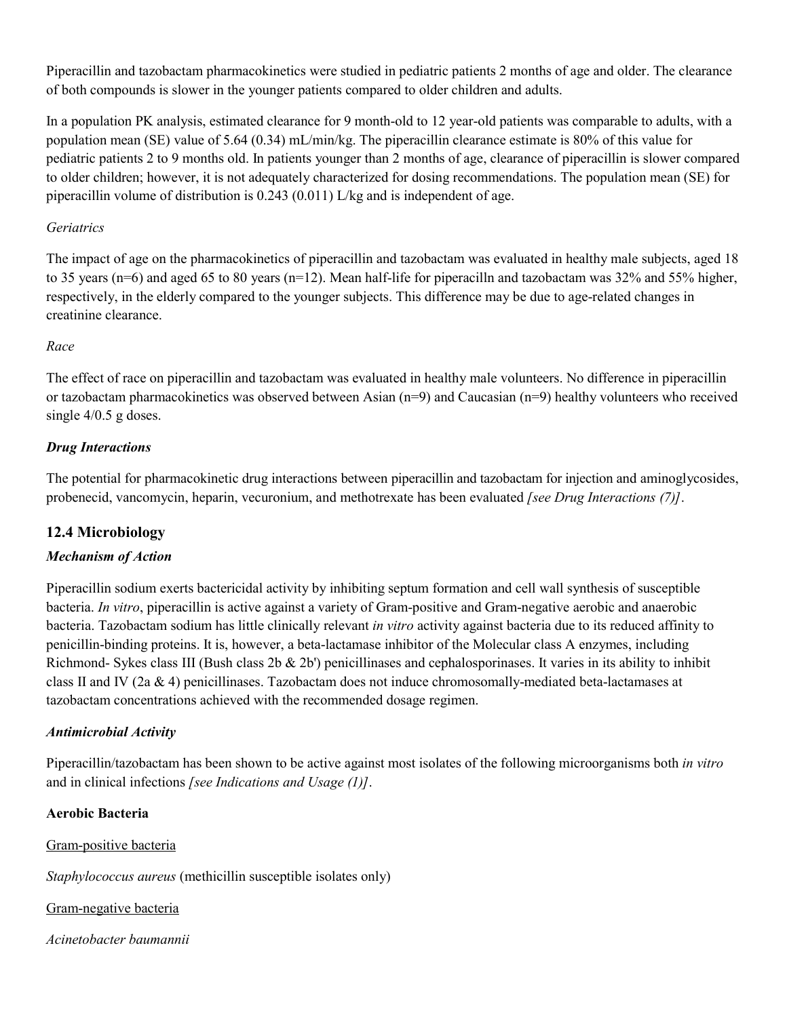Piperacillin and tazobactam pharmacokinetics were studied in pediatric patients 2 months of age and older. The clearance of both compounds is slower in the younger patients compared to older children and adults.

In a population PK analysis, estimated clearance for 9 month-old to 12 year-old patients was comparable to adults, with a population mean (SE) value of 5.64 (0.34) mL/min/kg. The piperacillin clearance estimate is 80% of this value for pediatric patients 2 to 9 months old. In patients younger than 2 months of age, clearance of piperacillin is slower compared to older children; however, it is not adequately characterized for dosing recommendations. The population mean (SE) for piperacillin volume of distribution is 0.243 (0.011) L/kg and is independent of age.

#### *Geriatrics*

The impact of age on the pharmacokinetics of piperacillin and tazobactam was evaluated in healthy male subjects, aged 18 to 35 years (n=6) and aged 65 to 80 years (n=12). Mean half-life for piperacilln and tazobactam was  $32\%$  and  $55\%$  higher, respectively, in the elderly compared to the younger subjects. This difference may be due to age-related changes in creatinine clearance.

#### *Race*

The effect of race on piperacillin and tazobactam was evaluated in healthy male volunteers. No difference in piperacillin or tazobactam pharmacokinetics was observed between Asian (n=9) and Caucasian (n=9) healthy volunteers who received single 4/0.5 g doses.

### *Drug Interactions*

The potential for pharmacokinetic drug interactions between piperacillin and tazobactam for injection and aminoglycosides, probenecid, vancomycin, heparin, vecuronium, and methotrexate has been evaluated *[see Drug Interactions (7)]*.

### **12.4 Microbiology**

### *Mechanism of Action*

Piperacillin sodium exerts bactericidal activity by inhibiting septum formation and cell wall synthesis of susceptible bacteria. *In vitro*, piperacillin is active against a variety of Gram-positive and Gram-negative aerobic and anaerobic bacteria. Tazobactam sodium has little clinically relevant *in vitro* activity against bacteria due to its reduced affinity to penicillin-binding proteins. It is, however, a beta-lactamase inhibitor of the Molecular class A enzymes, including Richmond- Sykes class III (Bush class 2b  $\&$  2b') penicillinases and cephalosporinases. It varies in its ability to inhibit class II and IV (2a & 4) penicillinases. Tazobactam does not induce chromosomally-mediated beta-lactamases at tazobactam concentrations achieved with the recommended dosage regimen.

#### *Antimicrobial Activity*

Piperacillin/tazobactam has been shown to be active against most isolates of the following microorganisms both *in vitro*  and in clinical infections *[see Indications and Usage (1)]*.

#### **Aerobic Bacteria**

Gram-positive bacteria

*Staphylococcus aureus* (methicillin susceptible isolates only)

Gram-negative bacteria

*Acinetobacter baumannii*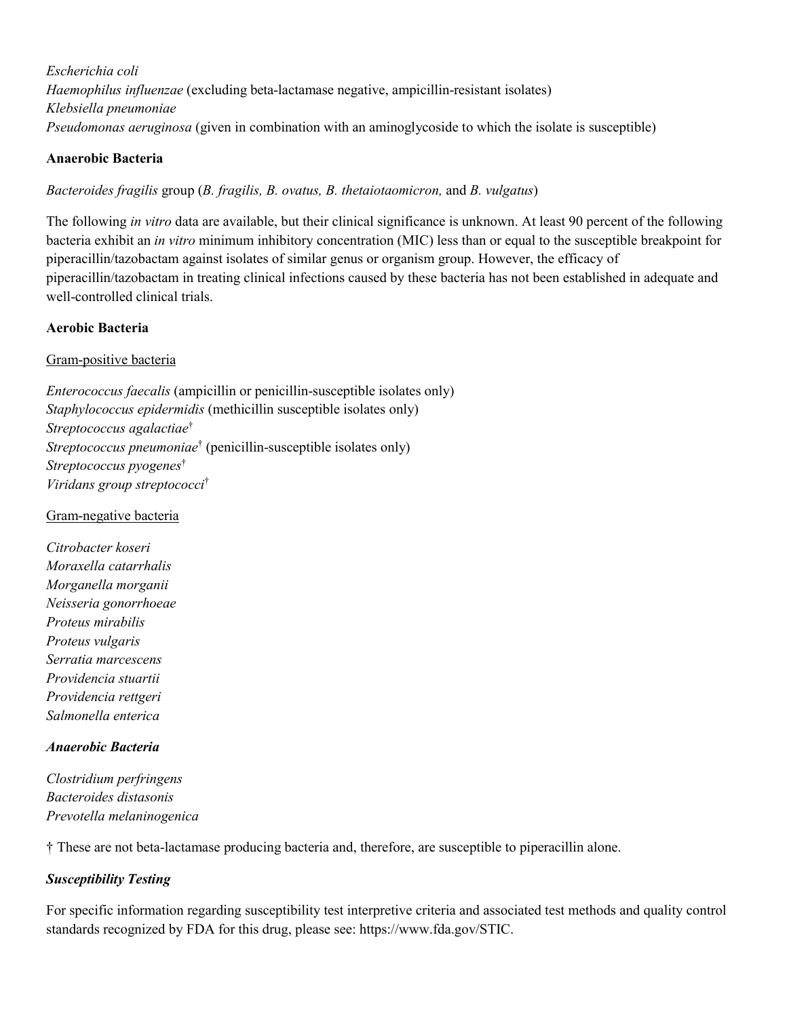*Escherichia coli Haemophilus influenzae* (excluding beta-lactamase negative, ampicillin-resistant isolates) *Klebsiella pneumoniae Pseudomonas aeruginosa* (given in combination with an aminoglycoside to which the isolate is susceptible)

#### **Anaerobic Bacteria**

*Bacteroides fragilis* group (*B. fragilis, B. ovatus, B. thetaiotaomicron,* and *B. vulgatus*)

The following *in vitro* data are available, but their clinical significance is unknown. At least 90 percent of the following bacteria exhibit an *in vitro* minimum inhibitory concentration (MIC) less than or equal to the susceptible breakpoint for piperacillin/tazobactam against isolates of similar genus or organism group. However, the efficacy of piperacillin/tazobactam in treating clinical infections caused by these bacteria has not been established in adequate and well-controlled clinical trials.

#### **Aerobic Bacteria**

Gram-positive bacteria

*Enterococcus faecalis* (ampicillin or penicillin-susceptible isolates only) *Staphylococcus epidermidis* (methicillin susceptible isolates only) *Streptococcus agalactiae* † *Streptococcus pneumoniae* † (penicillin-susceptible isolates only) *Streptococcus pyogenes* † *Viridans group streptococci* †

Gram-negative bacteria

*Citrobacter koseri Moraxella catarrhalis Morganella morganii Neisseria gonorrhoeae Proteus mirabilis Proteus vulgaris Serratia marcescens Providencia stuartii Providencia rettgeri Salmonella enterica*

#### *Anaerobic Bacteria*

*Clostridium perfringens Bacteroides distasonis Prevotella melaninogenica*

† These are not beta-lactamase producing bacteria and, therefore, are susceptible to piperacillin alone.

### *Susceptibility Testing*

For specific information regarding susceptibility test interpretive criteria and associated test methods and quality control standards recognized by FDA for this drug, please see: https://www.fda.gov/STIC.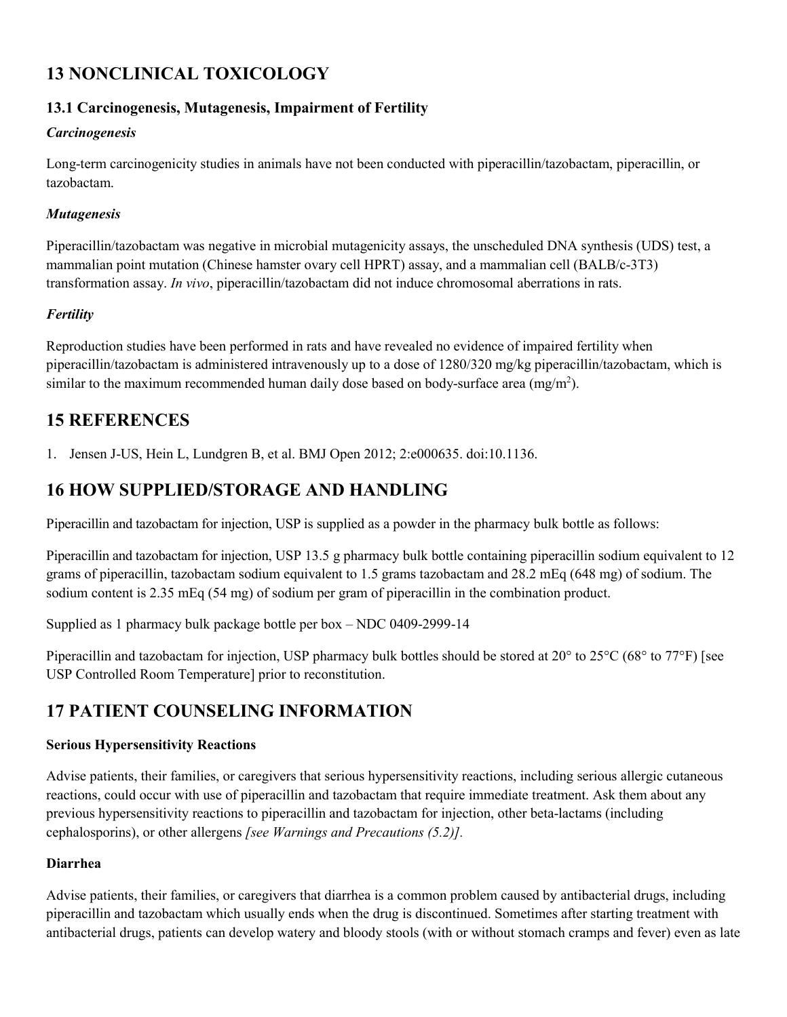# **13 NONCLINICAL TOXICOLOGY**

# **13.1 Carcinogenesis, Mutagenesis, Impairment of Fertility**

#### *Carcinogenesis*

Long-term carcinogenicity studies in animals have not been conducted with piperacillin/tazobactam, piperacillin, or tazobactam.

#### *Mutagenesis*

Piperacillin/tazobactam was negative in microbial mutagenicity assays, the unscheduled DNA synthesis (UDS) test, a mammalian point mutation (Chinese hamster ovary cell HPRT) assay, and a mammalian cell (BALB/c-3T3) transformation assay. *In vivo*, piperacillin/tazobactam did not induce chromosomal aberrations in rats.

### *Fertility*

Reproduction studies have been performed in rats and have revealed no evidence of impaired fertility when piperacillin/tazobactam is administered intravenously up to a dose of 1280/320 mg/kg piperacillin/tazobactam, which is similar to the maximum recommended human daily dose based on body-surface area (mg/m<sup>2</sup>).

# **15 REFERENCES**

1. Jensen J-US, Hein L, Lundgren B, et al. BMJ Open 2012; 2:e000635. doi:10.1136.

# **16 HOW SUPPLIED/STORAGE AND HANDLING**

Piperacillin and tazobactam for injection, USP is supplied as a powder in the pharmacy bulk bottle as follows:

Piperacillin and tazobactam for injection, USP 13.5 g pharmacy bulk bottle containing piperacillin sodium equivalent to 12 grams of piperacillin, tazobactam sodium equivalent to 1.5 grams tazobactam and 28.2 mEq (648 mg) of sodium. The sodium content is 2.35 mEq (54 mg) of sodium per gram of piperacillin in the combination product.

Supplied as 1 pharmacy bulk package bottle per box – NDC 0409-2999-14

Piperacillin and tazobactam for injection, USP pharmacy bulk bottles should be stored at 20° to 25°C (68° to 77°F) [see USP Controlled Room Temperature] prior to reconstitution.

# **17 PATIENT COUNSELING INFORMATION**

### **Serious Hypersensitivity Reactions**

Advise patients, their families, or caregivers that serious hypersensitivity reactions, including serious allergic cutaneous reactions, could occur with use of piperacillin and tazobactam that require immediate treatment. Ask them about any previous hypersensitivity reactions to piperacillin and tazobactam for injection, other beta-lactams (including cephalosporins), or other allergens *[see Warnings and Precautions (5.2)].*

### **Diarrhea**

Advise patients, their families, or caregivers that diarrhea is a common problem caused by antibacterial drugs, including piperacillin and tazobactam which usually ends when the drug is discontinued. Sometimes after starting treatment with antibacterial drugs, patients can develop watery and bloody stools (with or without stomach cramps and fever) even as late